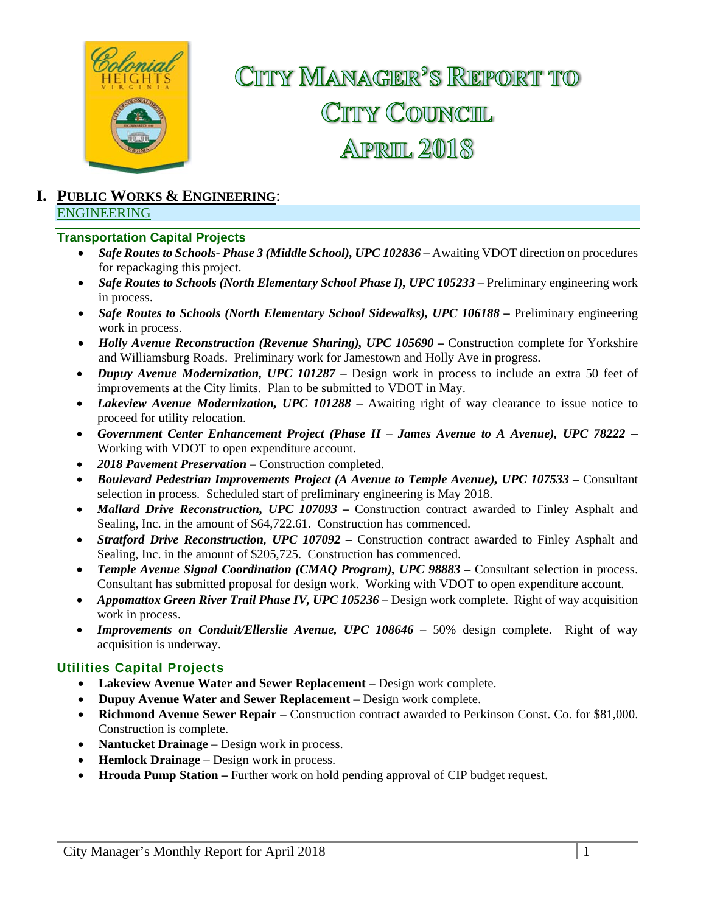

# CITTY MANAGER<sup>2</sup>S REPORT TO CITY COUNCIL **APRIL 2018**

#### **I. PUBLIC WORKS & ENGINEERING**: ENGINEERING

#### **Transportation Capital Projects**

- *Safe Routes to Schools- Phase 3 (Middle School), UPC 102836 Awaiting VDOT direction on procedures* for repackaging this project.
- *Safe Routes to Schools (North Elementary School Phase I), UPC 105233 Preliminary engineering work* in process.
- *Safe Routes to Schools (North Elementary School Sidewalks), UPC 106188 –* Preliminary engineering work in process.
- *Holly Avenue Reconstruction (Revenue Sharing), UPC 105690 Construction complete for Yorkshire* and Williamsburg Roads. Preliminary work for Jamestown and Holly Ave in progress.
- *Dupuy Avenue Modernization, UPC 101287*  Design work in process to include an extra 50 feet of improvements at the City limits. Plan to be submitted to VDOT in May.
- *Lakeview Avenue Modernization, UPC 101288* Awaiting right of way clearance to issue notice to proceed for utility relocation.
- *Government Center Enhancement Project (Phase II James Avenue to A Avenue), UPC 78222*  Working with VDOT to open expenditure account.
- *2018 Pavement Preservation* Construction completed.
- **•** Boulevard Pedestrian Improvements Project (A Avenue to Temple Avenue), UPC 107533 Consultant selection in process. Scheduled start of preliminary engineering is May 2018.
- *Mallard Drive Reconstruction, UPC 107093* Construction contract awarded to Finley Asphalt and Sealing, Inc. in the amount of \$64,722.61. Construction has commenced.
- *Stratford Drive Reconstruction, UPC 107092* Construction contract awarded to Finley Asphalt and Sealing, Inc. in the amount of \$205,725. Construction has commenced.
- *Temple Avenue Signal Coordination (CMAQ Program), UPC 98883 Consultant selection in process.* Consultant has submitted proposal for design work. Working with VDOT to open expenditure account.
- Appomattox Green River Trail Phase IV, UPC 105236 Design work complete. Right of way acquisition work in process.
- **•** Improvements on Conduit/Ellerslie Avenue, UPC 108646 50% design complete. Right of way acquisition is underway.

#### **Utilities Capital Projects**

- **Lakeview Avenue Water and Sewer Replacement** Design work complete.
- **Dupuy Avenue Water and Sewer Replacement** Design work complete.
- **Richmond Avenue Sewer Repair**  Construction contract awarded to Perkinson Const. Co. for \$81,000. Construction is complete.
- **Nantucket Drainage** Design work in process.
- **Hemlock Drainage**  Design work in process.
- **Hrouda Pump Station –** Further work on hold pending approval of CIP budget request.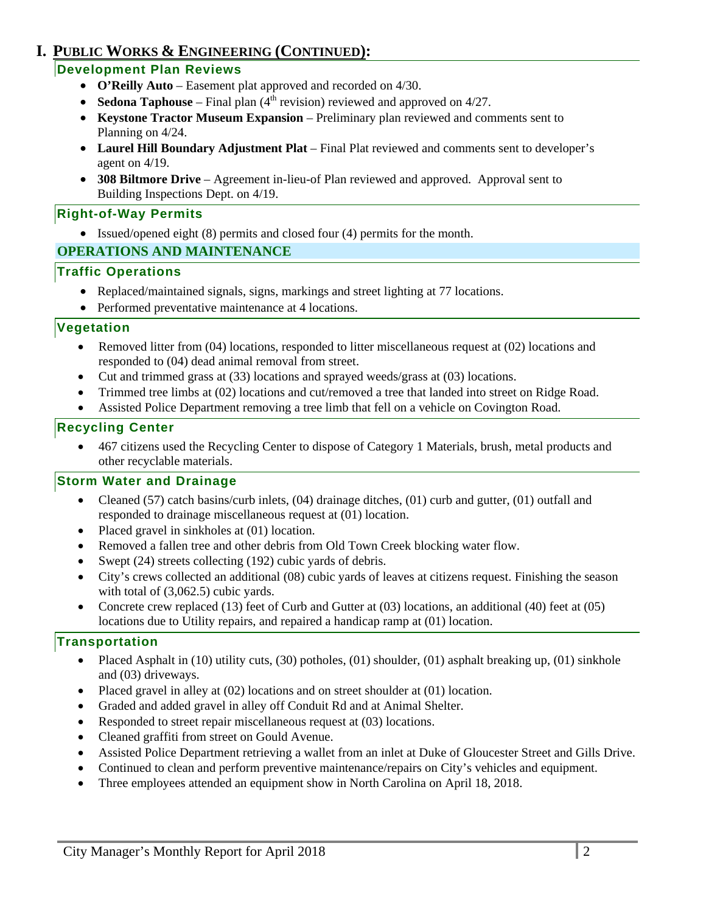### **I. PUBLIC WORKS & ENGINEERING (CONTINUED):**

### **Development Plan Reviews**

- **O'Reilly Auto** Easement plat approved and recorded on 4/30.
- **Sedona Taphouse** Final plan  $(4<sup>th</sup>$  revision) reviewed and approved on  $4/27$ .
- **Keystone Tractor Museum Expansion**  Preliminary plan reviewed and comments sent to Planning on 4/24.
- Laurel Hill Boundary Adjustment Plat Final Plat reviewed and comments sent to developer's agent on 4/19.
- **308 Biltmore Drive**  Agreement in-lieu-of Plan reviewed and approved. Approval sent to Building Inspections Dept. on 4/19.

### **Right-of-Way Permits**

Issued/opened eight (8) permits and closed four (4) permits for the month.

### **OPERATIONS AND MAINTENANCE**

### **Traffic Operations**

- Replaced/maintained signals, signs, markings and street lighting at 77 locations.
- Performed preventative maintenance at 4 locations.

#### **Vegetation**

- Removed litter from (04) locations, responded to litter miscellaneous request at (02) locations and responded to (04) dead animal removal from street.
- Cut and trimmed grass at (33) locations and sprayed weeds/grass at (03) locations.
- Trimmed tree limbs at (02) locations and cut/removed a tree that landed into street on Ridge Road.
- Assisted Police Department removing a tree limb that fell on a vehicle on Covington Road.

### **Recycling Center**

 467 citizens used the Recycling Center to dispose of Category 1 Materials, brush, metal products and other recyclable materials.

#### **Storm Water and Drainage**

- Cleaned (57) catch basins/curb inlets, (04) drainage ditches, (01) curb and gutter, (01) outfall and responded to drainage miscellaneous request at (01) location.
- Placed gravel in sinkholes at (01) location.
- Removed a fallen tree and other debris from Old Town Creek blocking water flow.
- Swept (24) streets collecting (192) cubic yards of debris.
- City's crews collected an additional (08) cubic yards of leaves at citizens request. Finishing the season with total of  $(3,062.5)$  cubic yards.
- Concrete crew replaced (13) feet of Curb and Gutter at (03) locations, an additional (40) feet at (05) locations due to Utility repairs, and repaired a handicap ramp at (01) location.

#### **Transportation**

- Placed Asphalt in (10) utility cuts, (30) potholes, (01) shoulder, (01) asphalt breaking up, (01) sinkhole and (03) driveways.
- Placed gravel in alley at (02) locations and on street shoulder at (01) location.
- Graded and added gravel in alley off Conduit Rd and at Animal Shelter.
- Responded to street repair miscellaneous request at (03) locations.
- Cleaned graffiti from street on Gould Avenue.
- Assisted Police Department retrieving a wallet from an inlet at Duke of Gloucester Street and Gills Drive.
- Continued to clean and perform preventive maintenance/repairs on City's vehicles and equipment.
- Three employees attended an equipment show in North Carolina on April 18, 2018.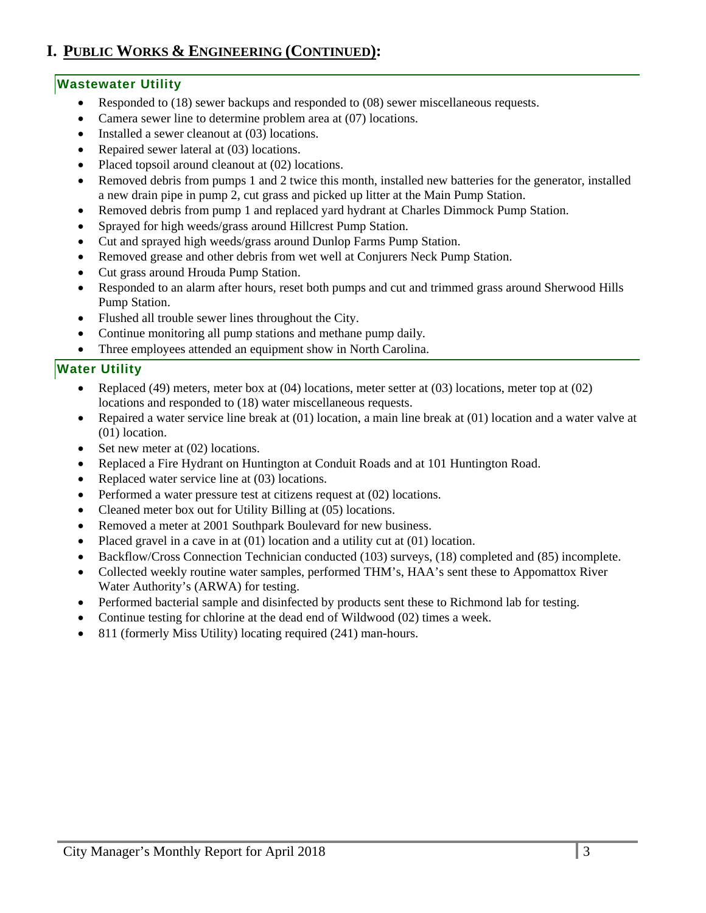## **I. PUBLIC WORKS & ENGINEERING (CONTINUED):**

#### **Wastewater Utility**

- Responded to (18) sewer backups and responded to (08) sewer miscellaneous requests.
- Camera sewer line to determine problem area at (07) locations.
- Installed a sewer cleanout at (03) locations.
- Repaired sewer lateral at (03) locations.
- Placed topsoil around cleanout at (02) locations.
- Removed debris from pumps 1 and 2 twice this month, installed new batteries for the generator, installed a new drain pipe in pump 2, cut grass and picked up litter at the Main Pump Station.
- Removed debris from pump 1 and replaced yard hydrant at Charles Dimmock Pump Station.
- Sprayed for high weeds/grass around Hillcrest Pump Station.
- Cut and sprayed high weeds/grass around Dunlop Farms Pump Station.
- Removed grease and other debris from wet well at Conjurers Neck Pump Station.
- Cut grass around Hrouda Pump Station.
- Responded to an alarm after hours, reset both pumps and cut and trimmed grass around Sherwood Hills Pump Station.
- Flushed all trouble sewer lines throughout the City.
- Continue monitoring all pump stations and methane pump daily*.*
- Three employees attended an equipment show in North Carolina.

#### **Water Utility**

- Replaced (49) meters, meter box at  $(04)$  locations, meter setter at  $(03)$  locations, meter top at  $(02)$ locations and responded to (18) water miscellaneous requests.
- Repaired a water service line break at (01) location, a main line break at (01) location and a water valve at (01) location.
- Set new meter at  $(02)$  locations.
- Replaced a Fire Hydrant on Huntington at Conduit Roads and at 101 Huntington Road.
- Replaced water service line at (03) locations.
- Performed a water pressure test at citizens request at (02) locations.
- Cleaned meter box out for Utility Billing at (05) locations.
- Removed a meter at 2001 Southpark Boulevard for new business.
- Placed gravel in a cave in at (01) location and a utility cut at (01) location.
- Backflow/Cross Connection Technician conducted (103) surveys, (18) completed and (85) incomplete.
- Collected weekly routine water samples, performed THM's, HAA's sent these to Appomattox River Water Authority's (ARWA) for testing.
- Performed bacterial sample and disinfected by products sent these to Richmond lab for testing.
- Continue testing for chlorine at the dead end of Wildwood (02) times a week.
- 811 (formerly Miss Utility) locating required (241) man-hours.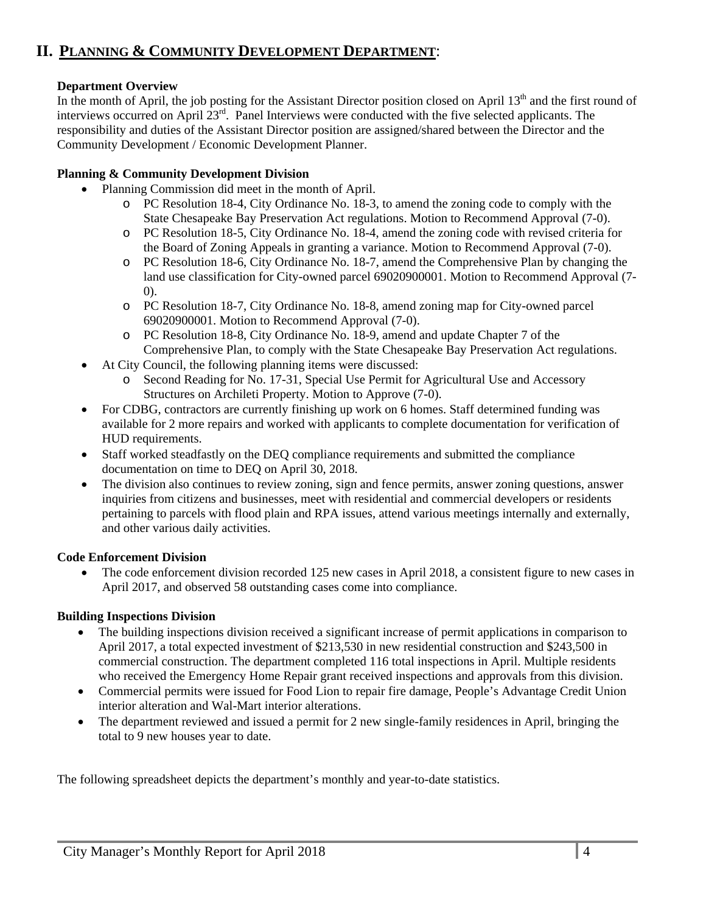### **II. PLANNING & COMMUNITY DEVELOPMENT DEPARTMENT**:

#### **Department Overview**

In the month of April, the job posting for the Assistant Director position closed on April  $13<sup>th</sup>$  and the first round of interviews occurred on April 23rd. Panel Interviews were conducted with the five selected applicants. The responsibility and duties of the Assistant Director position are assigned/shared between the Director and the Community Development / Economic Development Planner.

#### **Planning & Community Development Division**

- Planning Commission did meet in the month of April.
	- o PC Resolution 18-4, City Ordinance No. 18-3, to amend the zoning code to comply with the State Chesapeake Bay Preservation Act regulations. Motion to Recommend Approval (7-0).
	- o PC Resolution 18-5, City Ordinance No. 18-4, amend the zoning code with revised criteria for the Board of Zoning Appeals in granting a variance. Motion to Recommend Approval (7-0).
	- o PC Resolution 18-6, City Ordinance No. 18-7, amend the Comprehensive Plan by changing the land use classification for City-owned parcel 69020900001. Motion to Recommend Approval (7- 0).
	- o PC Resolution 18-7, City Ordinance No. 18-8, amend zoning map for City-owned parcel 69020900001. Motion to Recommend Approval (7-0).
	- o PC Resolution 18-8, City Ordinance No. 18-9, amend and update Chapter 7 of the Comprehensive Plan, to comply with the State Chesapeake Bay Preservation Act regulations.
- At City Council, the following planning items were discussed:
	- o Second Reading for No. 17-31, Special Use Permit for Agricultural Use and Accessory Structures on Archileti Property. Motion to Approve (7-0).
- For CDBG, contractors are currently finishing up work on 6 homes. Staff determined funding was available for 2 more repairs and worked with applicants to complete documentation for verification of HUD requirements.
- Staff worked steadfastly on the DEQ compliance requirements and submitted the compliance documentation on time to DEQ on April 30, 2018.
- The division also continues to review zoning, sign and fence permits, answer zoning questions, answer inquiries from citizens and businesses, meet with residential and commercial developers or residents pertaining to parcels with flood plain and RPA issues, attend various meetings internally and externally, and other various daily activities.

#### **Code Enforcement Division**

 The code enforcement division recorded 125 new cases in April 2018, a consistent figure to new cases in April 2017, and observed 58 outstanding cases come into compliance.

#### **Building Inspections Division**

- The building inspections division received a significant increase of permit applications in comparison to April 2017, a total expected investment of \$213,530 in new residential construction and \$243,500 in commercial construction. The department completed 116 total inspections in April. Multiple residents who received the Emergency Home Repair grant received inspections and approvals from this division.
- Commercial permits were issued for Food Lion to repair fire damage, People's Advantage Credit Union interior alteration and Wal-Mart interior alterations.
- The department reviewed and issued a permit for 2 new single-family residences in April, bringing the total to 9 new houses year to date.

The following spreadsheet depicts the department's monthly and year-to-date statistics.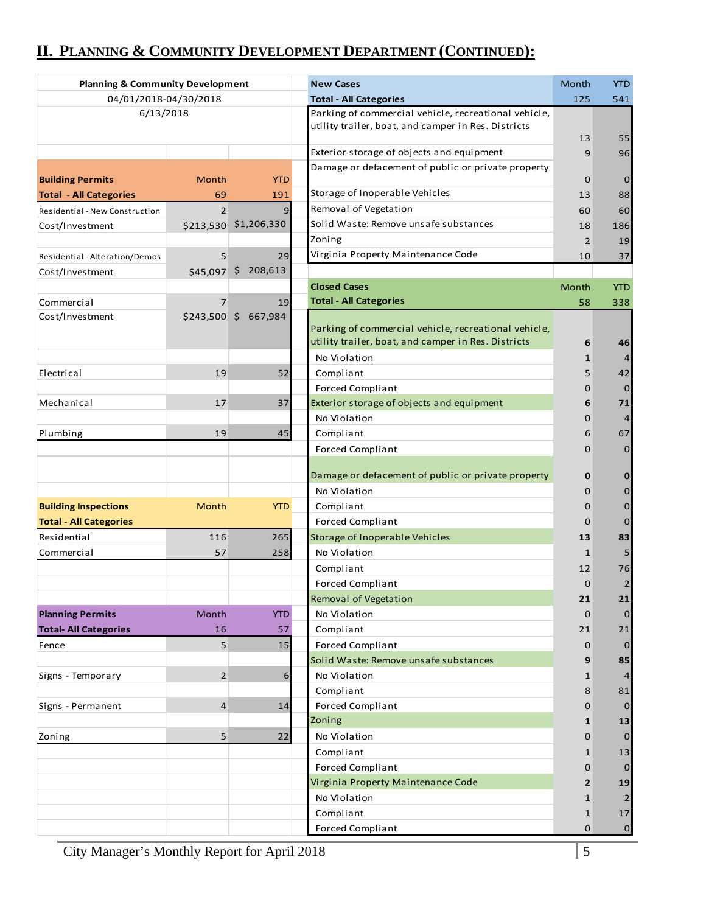# **II. PLANNING & COMMUNITY DEVELOPMENT DEPARTMENT (CONTINUED):**

| <b>Planning &amp; Community Development</b> |                |                       | <b>New Cases</b>                                                                                            | Month          | <b>YTD</b>     |
|---------------------------------------------|----------------|-----------------------|-------------------------------------------------------------------------------------------------------------|----------------|----------------|
| 04/01/2018-04/30/2018                       |                |                       | <b>Total - All Categories</b>                                                                               | 125            | 541            |
| 6/13/2018                                   |                |                       | Parking of commercial vehicle, recreational vehicle,<br>utility trailer, boat, and camper in Res. Districts | 13             | 55             |
|                                             |                |                       | Exterior storage of objects and equipment                                                                   | 9              | 96             |
|                                             |                |                       | Damage or defacement of public or private property                                                          |                |                |
| <b>Building Permits</b>                     | Month          | <b>YTD</b>            |                                                                                                             | 0              | $\mathbf{0}$   |
| <b>Total - All Categories</b>               | 69             | 191                   | Storage of Inoperable Vehicles                                                                              | 13             | 88             |
| Residential - New Construction              | $\overline{2}$ | 9                     | Removal of Vegetation                                                                                       | 60             | 60             |
| Cost/Investment                             |                | \$213,530 \$1,206,330 | Solid Waste: Remove unsafe substances                                                                       | 18             | 186            |
|                                             |                |                       | Zoning                                                                                                      | $\overline{2}$ | 19             |
| Residential - Alteration/Demos              | 5              | 29                    | Virginia Property Maintenance Code                                                                          | 10             | 37             |
| Cost/Investment                             | \$45,097       | \$208,613             |                                                                                                             |                |                |
|                                             |                |                       | <b>Closed Cases</b>                                                                                         | Month          | <b>YTD</b>     |
| Commercial                                  | $\overline{7}$ | 19                    | <b>Total - All Categories</b>                                                                               | 58             | 338            |
| Cost/Investment                             |                | \$243,500 \$ 667,984  | Parking of commercial vehicle, recreational vehicle,<br>utility trailer, boat, and camper in Res. Districts | 6              | 46             |
|                                             |                |                       | No Violation                                                                                                | 1              | 4              |
| Electrical                                  | 19             | 52                    | Compliant                                                                                                   | 5              | 42             |
|                                             |                |                       | <b>Forced Compliant</b>                                                                                     | 0              | $\mathbf 0$    |
| Mechanical                                  | 17             | 37                    | Exterior storage of objects and equipment                                                                   | 6              | 71             |
|                                             |                |                       | No Violation                                                                                                | 0              | $\overline{4}$ |
| Plumbing                                    | 19             | 45                    | Compliant                                                                                                   | 6              | 67             |
|                                             |                |                       | <b>Forced Compliant</b>                                                                                     | 0              | $\mathbf{0}$   |
|                                             |                |                       | Damage or defacement of public or private property                                                          | 0              | $\bf{0}$       |
|                                             |                |                       | No Violation                                                                                                | 0              | $\mathbf 0$    |
| <b>Building Inspections</b>                 | Month          | <b>YTD</b>            | Compliant                                                                                                   | 0              | $\mathbf{0}$   |
| <b>Total - All Categories</b>               |                |                       | <b>Forced Compliant</b>                                                                                     | 0              | $\mathbf{0}$   |
| Residential                                 | 116            | 265                   | Storage of Inoperable Vehicles                                                                              | 13             | 83             |
| Commercial                                  | 57             | 258                   | No Violation                                                                                                | $\mathbf{1}$   | 5              |
|                                             |                |                       | Compliant                                                                                                   | 12             | 76             |
|                                             |                |                       | <b>Forced Compliant</b>                                                                                     | $\mathbf 0$    | $\overline{2}$ |
|                                             |                |                       | Removal of Vegetation                                                                                       | 21             | 21             |
| <b>Planning Permits</b>                     | Month          | <b>YTD</b>            | No Violation                                                                                                | $\mathbf 0$    | $\mathbf{0}$   |
| <b>Total- All Categories</b>                | 16             | 57                    | Compliant                                                                                                   | 21             | 21             |
| Fence                                       | 5              | 15                    | <b>Forced Compliant</b>                                                                                     | 0              | 0              |
|                                             |                |                       | Solid Waste: Remove unsafe substances                                                                       | 9              | 85             |
| Signs - Temporary                           | $\overline{2}$ | 6                     | No Violation                                                                                                | 1              | $\overline{4}$ |
|                                             |                |                       | Compliant                                                                                                   | 8              | 81             |
| Signs - Permanent                           | $\overline{4}$ | 14                    | <b>Forced Compliant</b>                                                                                     | $\Omega$       | $\mathbf{0}$   |
|                                             |                |                       | Zoning                                                                                                      | 1              | 13             |
| Zoning                                      | 5              | 22                    | No Violation                                                                                                | 0              | $\mathbf{0}$   |
|                                             |                |                       | Compliant                                                                                                   | 1              | 13             |
|                                             |                |                       | <b>Forced Compliant</b>                                                                                     | 0              | 0              |
|                                             |                |                       | Virginia Property Maintenance Code                                                                          | 2              | 19             |
|                                             |                |                       | No Violation                                                                                                | 1              | 2              |
|                                             |                |                       | Compliant                                                                                                   | 1              | 17             |
|                                             |                |                       | <b>Forced Compliant</b>                                                                                     | 0              | $\mathbf{0}$   |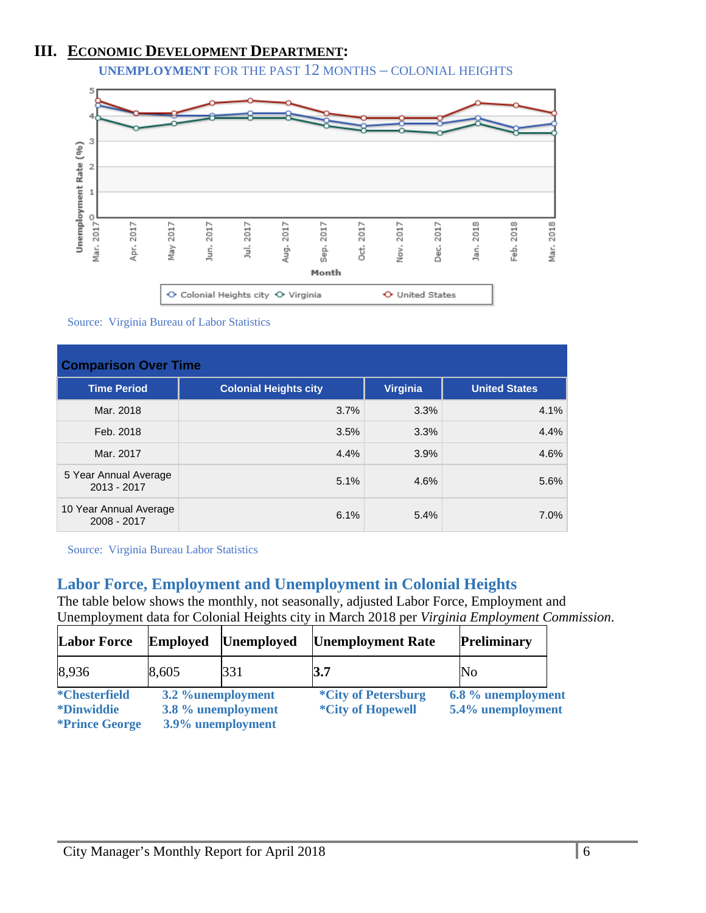### **III. ECONOMIC DEVELOPMENT DEPARTMENT:**

**UNEMPLOYMENT** FOR THE PAST 12 MONTHS – COLONIAL HEIGHTS



Source: Virginia Bureau of Labor Statistics

| <b>Comparison Over Time</b>           |                              |                 |                      |  |  |
|---------------------------------------|------------------------------|-----------------|----------------------|--|--|
| <b>Time Period</b>                    | <b>Colonial Heights city</b> | <b>Virginia</b> | <b>United States</b> |  |  |
| Mar. 2018                             | 3.7%                         | 3.3%            | 4.1%                 |  |  |
| Feb. 2018                             | 3.5%                         | 3.3%            | 4.4%                 |  |  |
| Mar. 2017                             | 4.4%                         | 3.9%            | 4.6%                 |  |  |
| 5 Year Annual Average<br>2013 - 2017  | 5.1%                         | 4.6%            | 5.6%                 |  |  |
| 10 Year Annual Average<br>2008 - 2017 | 6.1%                         | 5.4%            | 7.0%                 |  |  |

Source: Virginia Bureau Labor Statistics

### **Labor Force, Employment and Unemployment in Colonial Heights**

The table below shows the monthly, not seasonally, adjusted Labor Force, Employment and Unemployment data for Colonial Heights city in March 2018 per *Virginia Employment Commission*.

| <b>Labor Force</b>                                                         | Employed          | <b>Unemployed</b>                       | <b>Unemployment Rate</b>                               | <b>Preliminary</b>                      |  |
|----------------------------------------------------------------------------|-------------------|-----------------------------------------|--------------------------------------------------------|-----------------------------------------|--|
| 8,936                                                                      | 8,605             | 331                                     | 3.7                                                    | No                                      |  |
| <i>*</i> Chesterfield<br><i>*Dinwiddie</i><br><i><b>*Prince George</b></i> | 3.2 %unemployment | 3.8 % unemployment<br>3.9% unemployment | <i>*City of Petersburg</i><br><i>*City of Hopewell</i> | 6.8 % unemployment<br>5.4% unemployment |  |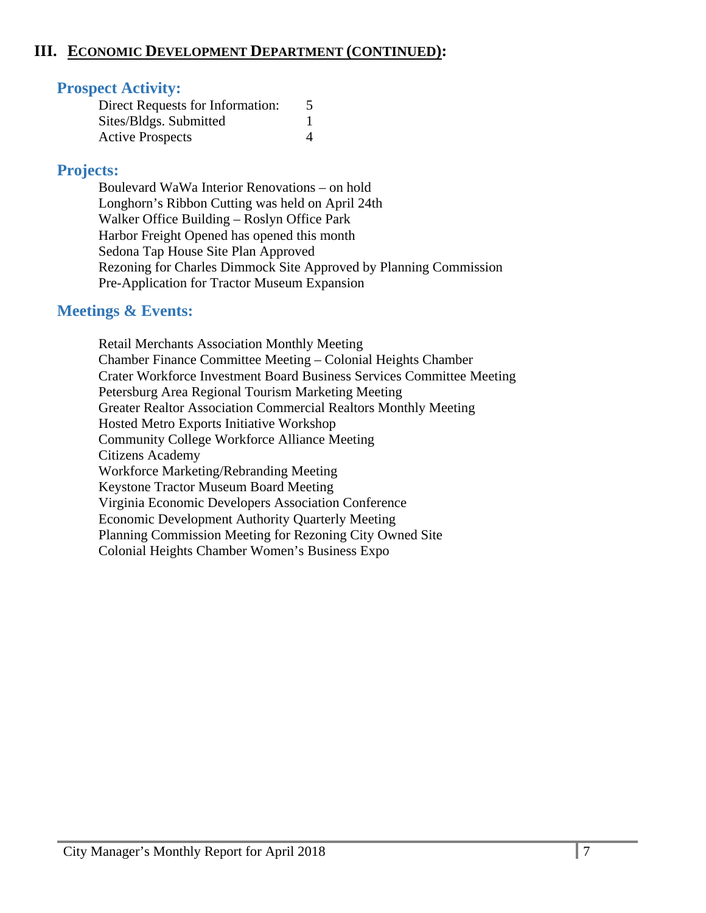### **III. ECONOMIC DEVELOPMENT DEPARTMENT (CONTINUED):**

### **Prospect Activity:**

| Direct Requests for Information: |  |
|----------------------------------|--|
| Sites/Bldgs. Submitted           |  |
| <b>Active Prospects</b>          |  |

### **Projects:**

Boulevard WaWa Interior Renovations – on hold Longhorn's Ribbon Cutting was held on April 24th Walker Office Building – Roslyn Office Park Harbor Freight Opened has opened this month Sedona Tap House Site Plan Approved Rezoning for Charles Dimmock Site Approved by Planning Commission Pre-Application for Tractor Museum Expansion

### **Meetings & Events:**

 Retail Merchants Association Monthly Meeting Chamber Finance Committee Meeting – Colonial Heights Chamber Crater Workforce Investment Board Business Services Committee Meeting Petersburg Area Regional Tourism Marketing Meeting Greater Realtor Association Commercial Realtors Monthly Meeting Hosted Metro Exports Initiative Workshop Community College Workforce Alliance Meeting Citizens Academy Workforce Marketing/Rebranding Meeting Keystone Tractor Museum Board Meeting Virginia Economic Developers Association Conference Economic Development Authority Quarterly Meeting Planning Commission Meeting for Rezoning City Owned Site Colonial Heights Chamber Women's Business Expo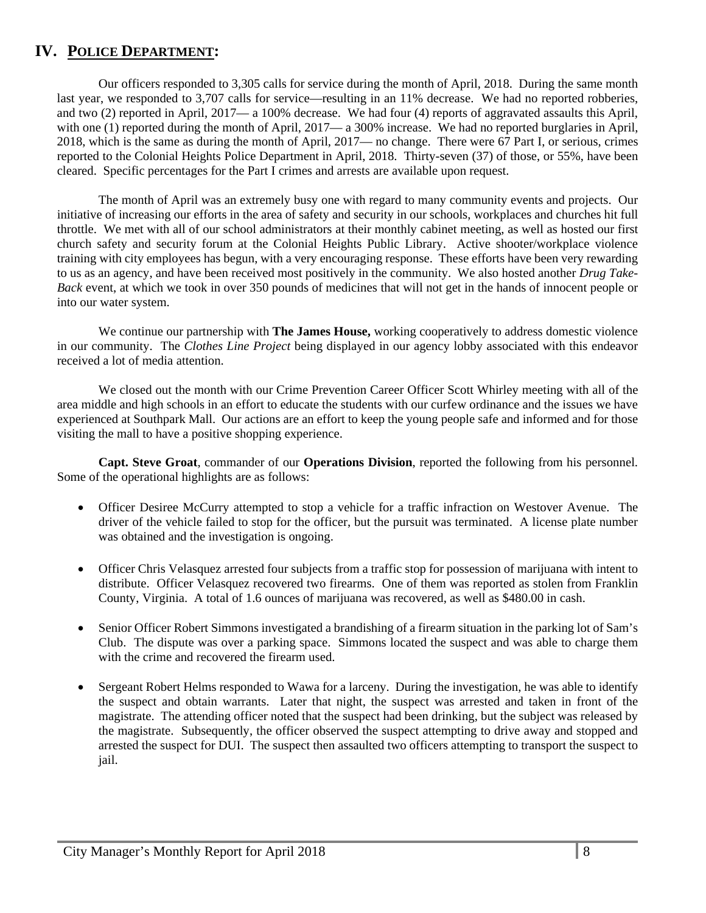### **IV. POLICE DEPARTMENT:**

Our officers responded to 3,305 calls for service during the month of April, 2018. During the same month last year, we responded to 3,707 calls for service—resulting in an 11% decrease. We had no reported robberies, and two (2) reported in April, 2017— a 100% decrease. We had four (4) reports of aggravated assaults this April, with one (1) reported during the month of April, 2017— a 300% increase. We had no reported burglaries in April, 2018, which is the same as during the month of April, 2017— no change. There were 67 Part I, or serious, crimes reported to the Colonial Heights Police Department in April, 2018. Thirty-seven (37) of those, or 55%, have been cleared. Specific percentages for the Part I crimes and arrests are available upon request.

The month of April was an extremely busy one with regard to many community events and projects. Our initiative of increasing our efforts in the area of safety and security in our schools, workplaces and churches hit full throttle. We met with all of our school administrators at their monthly cabinet meeting, as well as hosted our first church safety and security forum at the Colonial Heights Public Library. Active shooter/workplace violence training with city employees has begun, with a very encouraging response. These efforts have been very rewarding to us as an agency, and have been received most positively in the community. We also hosted another *Drug Take-Back* event, at which we took in over 350 pounds of medicines that will not get in the hands of innocent people or into our water system.

We continue our partnership with **The James House,** working cooperatively to address domestic violence in our community. The *Clothes Line Project* being displayed in our agency lobby associated with this endeavor received a lot of media attention.

We closed out the month with our Crime Prevention Career Officer Scott Whirley meeting with all of the area middle and high schools in an effort to educate the students with our curfew ordinance and the issues we have experienced at Southpark Mall. Our actions are an effort to keep the young people safe and informed and for those visiting the mall to have a positive shopping experience.

**Capt. Steve Groat**, commander of our **Operations Division**, reported the following from his personnel. Some of the operational highlights are as follows:

- Officer Desiree McCurry attempted to stop a vehicle for a traffic infraction on Westover Avenue. The driver of the vehicle failed to stop for the officer, but the pursuit was terminated. A license plate number was obtained and the investigation is ongoing.
- Officer Chris Velasquez arrested four subjects from a traffic stop for possession of marijuana with intent to distribute. Officer Velasquez recovered two firearms. One of them was reported as stolen from Franklin County, Virginia. A total of 1.6 ounces of marijuana was recovered, as well as \$480.00 in cash.
- Senior Officer Robert Simmons investigated a brandishing of a firearm situation in the parking lot of Sam's Club. The dispute was over a parking space. Simmons located the suspect and was able to charge them with the crime and recovered the firearm used.
- Sergeant Robert Helms responded to Wawa for a larceny. During the investigation, he was able to identify the suspect and obtain warrants. Later that night, the suspect was arrested and taken in front of the magistrate. The attending officer noted that the suspect had been drinking, but the subject was released by the magistrate. Subsequently, the officer observed the suspect attempting to drive away and stopped and arrested the suspect for DUI. The suspect then assaulted two officers attempting to transport the suspect to jail.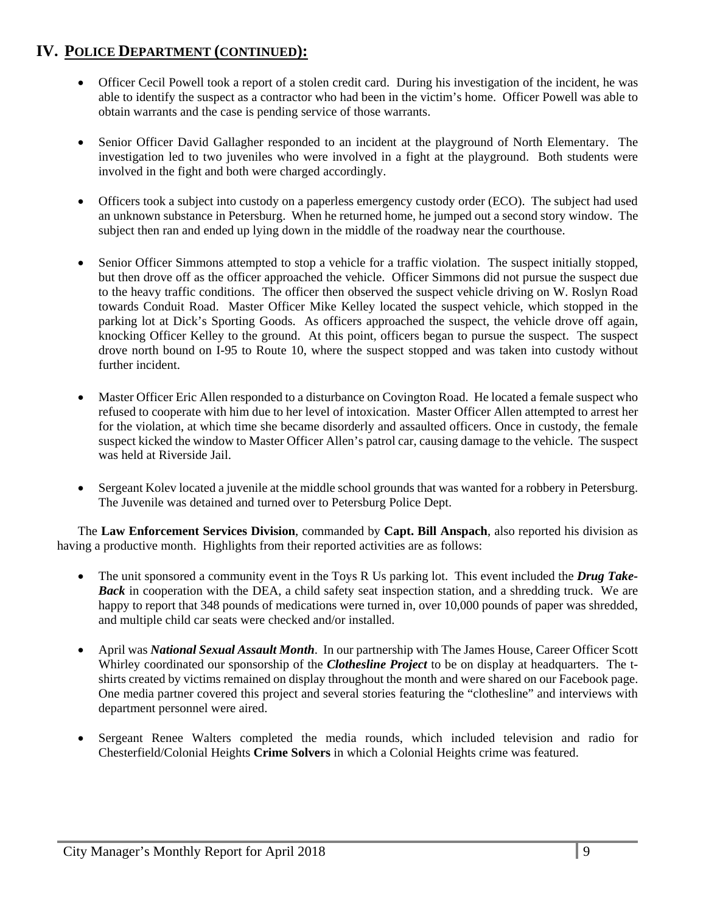- Officer Cecil Powell took a report of a stolen credit card. During his investigation of the incident, he was able to identify the suspect as a contractor who had been in the victim's home. Officer Powell was able to obtain warrants and the case is pending service of those warrants.
- Senior Officer David Gallagher responded to an incident at the playground of North Elementary. The investigation led to two juveniles who were involved in a fight at the playground. Both students were involved in the fight and both were charged accordingly.
- Officers took a subject into custody on a paperless emergency custody order (ECO). The subject had used an unknown substance in Petersburg. When he returned home, he jumped out a second story window. The subject then ran and ended up lying down in the middle of the roadway near the courthouse.
- Senior Officer Simmons attempted to stop a vehicle for a traffic violation. The suspect initially stopped, but then drove off as the officer approached the vehicle. Officer Simmons did not pursue the suspect due to the heavy traffic conditions. The officer then observed the suspect vehicle driving on W. Roslyn Road towards Conduit Road. Master Officer Mike Kelley located the suspect vehicle, which stopped in the parking lot at Dick's Sporting Goods. As officers approached the suspect, the vehicle drove off again, knocking Officer Kelley to the ground. At this point, officers began to pursue the suspect. The suspect drove north bound on I-95 to Route 10, where the suspect stopped and was taken into custody without further incident.
- Master Officer Eric Allen responded to a disturbance on Covington Road. He located a female suspect who refused to cooperate with him due to her level of intoxication. Master Officer Allen attempted to arrest her for the violation, at which time she became disorderly and assaulted officers. Once in custody, the female suspect kicked the window to Master Officer Allen's patrol car, causing damage to the vehicle. The suspect was held at Riverside Jail.
- Sergeant Kolev located a juvenile at the middle school grounds that was wanted for a robbery in Petersburg. The Juvenile was detained and turned over to Petersburg Police Dept.

The **Law Enforcement Services Division**, commanded by **Capt. Bill Anspach**, also reported his division as having a productive month. Highlights from their reported activities are as follows:

- The unit sponsored a community event in the Toys R Us parking lot. This event included the *Drug Take-Back* in cooperation with the DEA, a child safety seat inspection station, and a shredding truck. We are happy to report that 348 pounds of medications were turned in, over 10,000 pounds of paper was shredded, and multiple child car seats were checked and/or installed.
- April was *National Sexual Assault Month*. In our partnership with The James House, Career Officer Scott Whirley coordinated our sponsorship of the *Clothesline Project* to be on display at headquarters. The tshirts created by victims remained on display throughout the month and were shared on our Facebook page. One media partner covered this project and several stories featuring the "clothesline" and interviews with department personnel were aired.
- Sergeant Renee Walters completed the media rounds, which included television and radio for Chesterfield/Colonial Heights **Crime Solvers** in which a Colonial Heights crime was featured.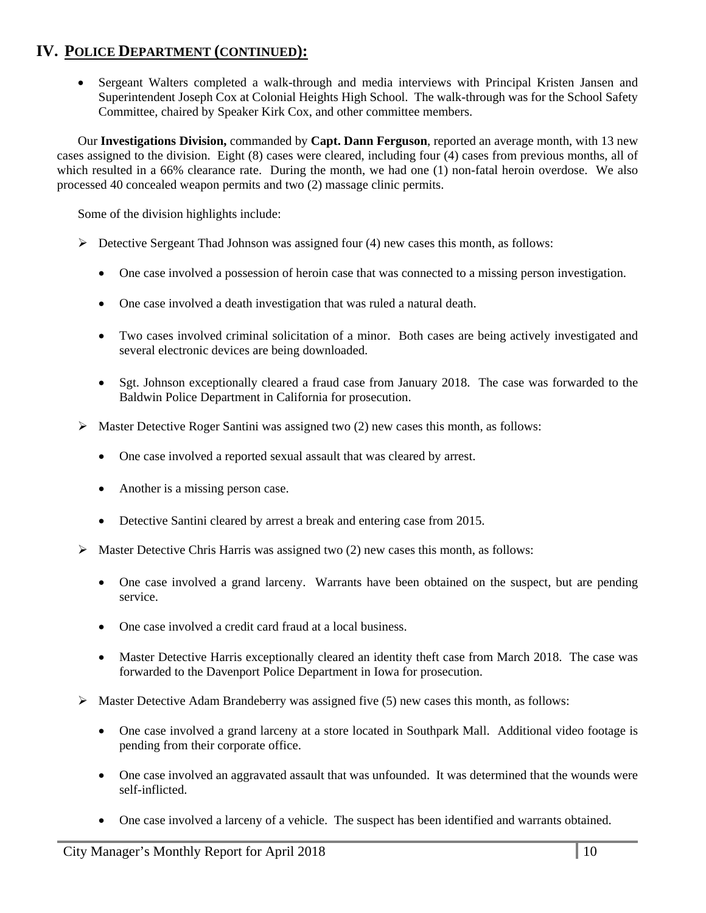Sergeant Walters completed a walk-through and media interviews with Principal Kristen Jansen and Superintendent Joseph Cox at Colonial Heights High School. The walk-through was for the School Safety Committee, chaired by Speaker Kirk Cox, and other committee members.

Our **Investigations Division,** commanded by **Capt. Dann Ferguson**, reported an average month, with 13 new cases assigned to the division. Eight (8) cases were cleared, including four (4) cases from previous months, all of which resulted in a 66% clearance rate. During the month, we had one (1) non-fatal heroin overdose. We also processed 40 concealed weapon permits and two (2) massage clinic permits.

Some of the division highlights include:

- $\triangleright$  Detective Sergeant Thad Johnson was assigned four (4) new cases this month, as follows:
	- One case involved a possession of heroin case that was connected to a missing person investigation.
	- One case involved a death investigation that was ruled a natural death.
	- Two cases involved criminal solicitation of a minor. Both cases are being actively investigated and several electronic devices are being downloaded.
	- Sgt. Johnson exceptionally cleared a fraud case from January 2018. The case was forwarded to the Baldwin Police Department in California for prosecution.
- $\triangleright$  Master Detective Roger Santini was assigned two (2) new cases this month, as follows:
	- One case involved a reported sexual assault that was cleared by arrest.
	- Another is a missing person case.
	- Detective Santini cleared by arrest a break and entering case from 2015.
- $\triangleright$  Master Detective Chris Harris was assigned two (2) new cases this month, as follows:
	- One case involved a grand larceny. Warrants have been obtained on the suspect, but are pending service.
	- One case involved a credit card fraud at a local business.
	- Master Detective Harris exceptionally cleared an identity theft case from March 2018. The case was forwarded to the Davenport Police Department in Iowa for prosecution.
- $\triangleright$  Master Detective Adam Brandeberry was assigned five (5) new cases this month, as follows:
	- One case involved a grand larceny at a store located in Southpark Mall. Additional video footage is pending from their corporate office.
	- One case involved an aggravated assault that was unfounded. It was determined that the wounds were self-inflicted.
	- One case involved a larceny of a vehicle. The suspect has been identified and warrants obtained.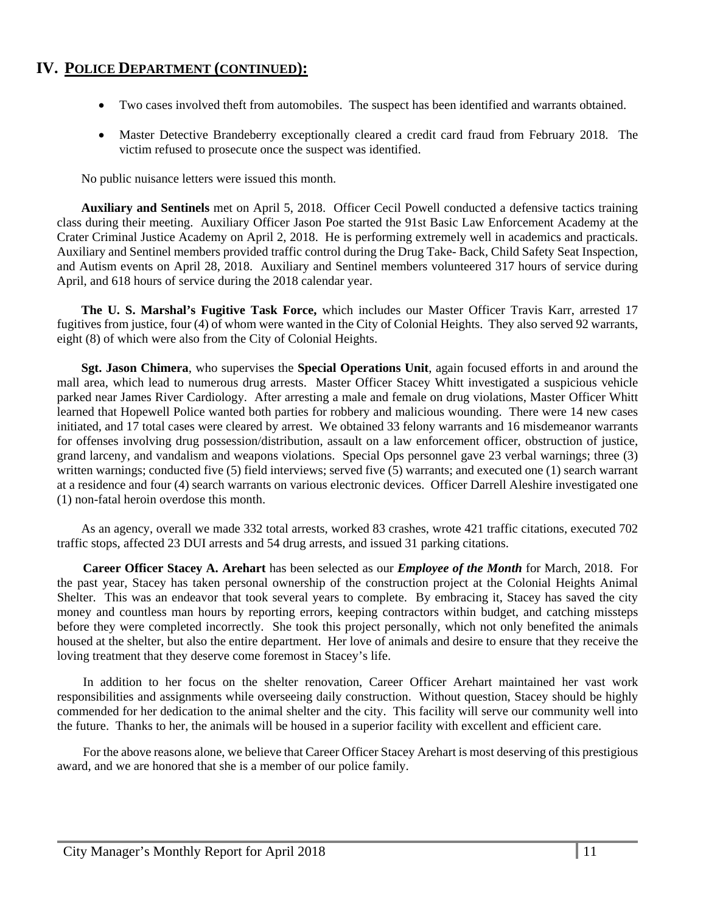- Two cases involved theft from automobiles. The suspect has been identified and warrants obtained.
- Master Detective Brandeberry exceptionally cleared a credit card fraud from February 2018. The victim refused to prosecute once the suspect was identified.

No public nuisance letters were issued this month.

**Auxiliary and Sentinels** met on April 5, 2018. Officer Cecil Powell conducted a defensive tactics training class during their meeting. Auxiliary Officer Jason Poe started the 91st Basic Law Enforcement Academy at the Crater Criminal Justice Academy on April 2, 2018. He is performing extremely well in academics and practicals. Auxiliary and Sentinel members provided traffic control during the Drug Take- Back, Child Safety Seat Inspection, and Autism events on April 28, 2018. Auxiliary and Sentinel members volunteered 317 hours of service during April, and 618 hours of service during the 2018 calendar year.

**The U. S. Marshal's Fugitive Task Force,** which includes our Master Officer Travis Karr, arrested 17 fugitives from justice, four (4) of whom were wanted in the City of Colonial Heights. They also served 92 warrants, eight (8) of which were also from the City of Colonial Heights.

**Sgt. Jason Chimera**, who supervises the **Special Operations Unit**, again focused efforts in and around the mall area, which lead to numerous drug arrests. Master Officer Stacey Whitt investigated a suspicious vehicle parked near James River Cardiology. After arresting a male and female on drug violations, Master Officer Whitt learned that Hopewell Police wanted both parties for robbery and malicious wounding. There were 14 new cases initiated, and 17 total cases were cleared by arrest. We obtained 33 felony warrants and 16 misdemeanor warrants for offenses involving drug possession/distribution, assault on a law enforcement officer, obstruction of justice, grand larceny, and vandalism and weapons violations. Special Ops personnel gave 23 verbal warnings; three (3) written warnings; conducted five (5) field interviews; served five (5) warrants; and executed one (1) search warrant at a residence and four (4) search warrants on various electronic devices. Officer Darrell Aleshire investigated one (1) non-fatal heroin overdose this month.

As an agency, overall we made 332 total arrests, worked 83 crashes, wrote 421 traffic citations, executed 702 traffic stops, affected 23 DUI arrests and 54 drug arrests, and issued 31 parking citations.

**Career Officer Stacey A. Arehart** has been selected as our *Employee of the Month* for March, 2018. For the past year, Stacey has taken personal ownership of the construction project at the Colonial Heights Animal Shelter. This was an endeavor that took several years to complete. By embracing it, Stacey has saved the city money and countless man hours by reporting errors, keeping contractors within budget, and catching missteps before they were completed incorrectly. She took this project personally, which not only benefited the animals housed at the shelter, but also the entire department. Her love of animals and desire to ensure that they receive the loving treatment that they deserve come foremost in Stacey's life.

In addition to her focus on the shelter renovation, Career Officer Arehart maintained her vast work responsibilities and assignments while overseeing daily construction. Without question, Stacey should be highly commended for her dedication to the animal shelter and the city. This facility will serve our community well into the future. Thanks to her, the animals will be housed in a superior facility with excellent and efficient care.

For the above reasons alone, we believe that Career Officer Stacey Arehart is most deserving of this prestigious award, and we are honored that she is a member of our police family.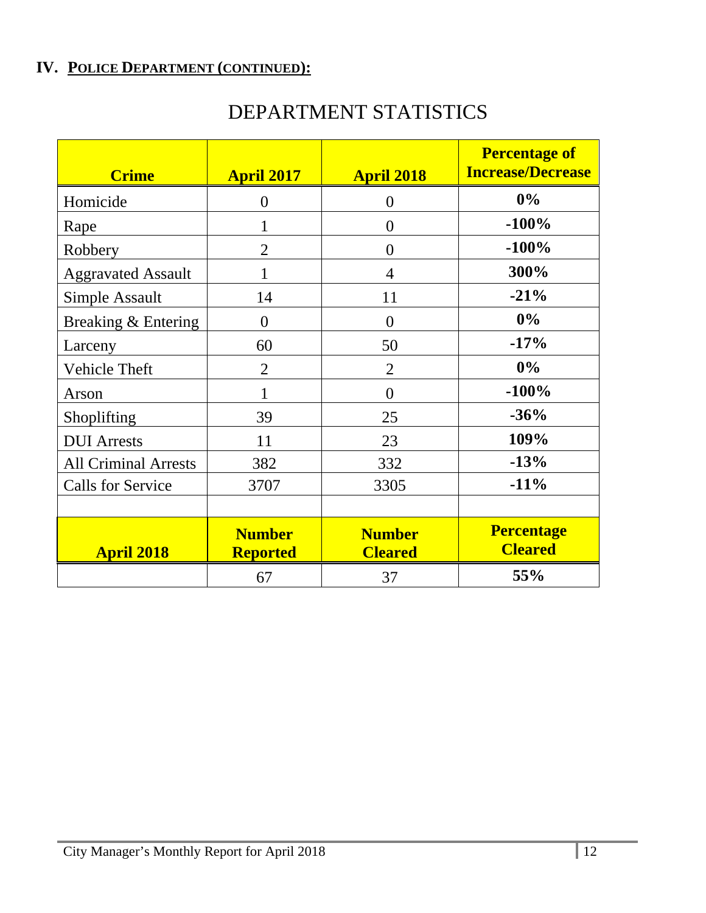| DEPARTMENT STATISTICS |
|-----------------------|
|-----------------------|

| <b>Crime</b>                | <b>April 2017</b>                | <b>April 2018</b>               | <b>Percentage of</b><br><b>Increase/Decrease</b> |
|-----------------------------|----------------------------------|---------------------------------|--------------------------------------------------|
| Homicide                    | $\overline{0}$                   | $\theta$                        | $0\%$                                            |
| Rape                        | 1                                | $\theta$                        | $-100%$                                          |
| Robbery                     | $\overline{2}$                   | $\theta$                        | $-100%$                                          |
| <b>Aggravated Assault</b>   | 1                                | $\overline{4}$                  | 300%                                             |
| Simple Assault              | 14                               | 11                              | $-21%$                                           |
| Breaking & Entering         | $\overline{0}$                   | $\theta$                        | 0%                                               |
| Larceny                     | 60                               | 50                              | $-17%$                                           |
| <b>Vehicle Theft</b>        | $\overline{2}$                   | $\overline{2}$                  | 0%                                               |
| Arson                       | 1                                | $\theta$                        | $-100%$                                          |
| Shoplifting                 | 39                               | 25                              | $-36%$                                           |
| <b>DUI</b> Arrests          | 11                               | 23                              | 109%                                             |
| <b>All Criminal Arrests</b> | 382                              | 332                             | $-13%$                                           |
| <b>Calls for Service</b>    | 3707                             | 3305                            | $-11%$                                           |
|                             |                                  |                                 |                                                  |
| <b>April 2018</b>           | <b>Number</b><br><b>Reported</b> | <b>Number</b><br><b>Cleared</b> | <b>Percentage</b><br><b>Cleared</b>              |
|                             | 67                               | 37                              | 55%                                              |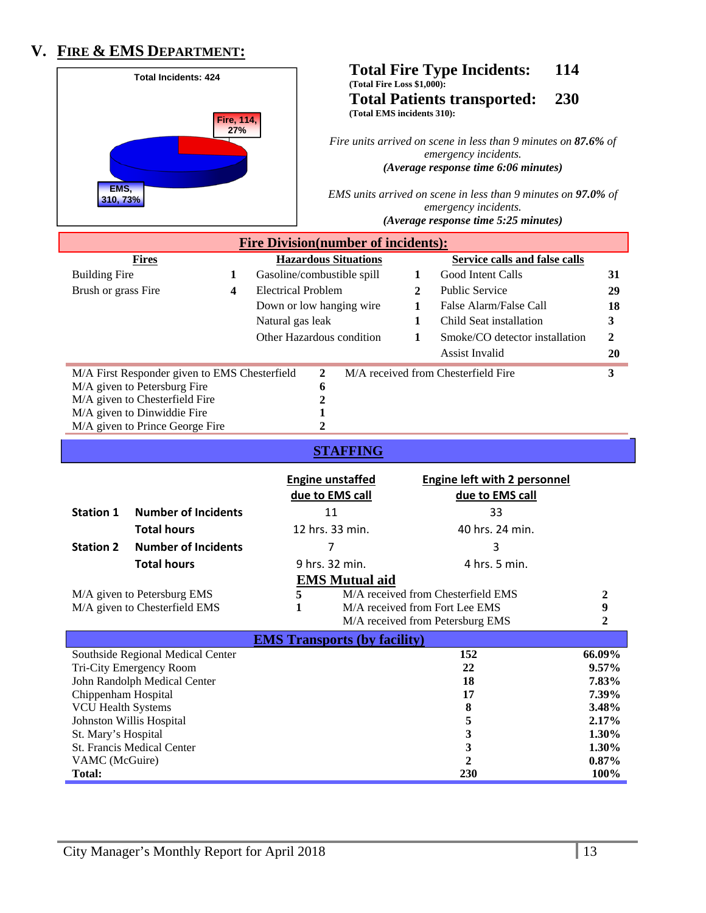# **V. FIRE & EMS DEPARTMENT:**

|                                 | <b>Total Incidents: 424</b>                   |                  | (Total Fire Loss \$1,000):<br>(Total EMS incidents 310): |                                                                                                                                | <b>Total Fire Type Incidents:</b><br><b>Total Patients transported:</b>                                                          | 114<br>230 |                |
|---------------------------------|-----------------------------------------------|------------------|----------------------------------------------------------|--------------------------------------------------------------------------------------------------------------------------------|----------------------------------------------------------------------------------------------------------------------------------|------------|----------------|
| <b>Fire, 114,</b><br>27%        |                                               |                  |                                                          | Fire units arrived on scene in less than 9 minutes on 87.6% of<br>emergency incidents.<br>(Average response time 6:06 minutes) |                                                                                                                                  |            |                |
| EMS,<br>310, 73%                |                                               |                  |                                                          |                                                                                                                                | EMS units arrived on scene in less than 9 minutes on $97.0\%$ of<br>emergency incidents.<br>(Average response time 5:25 minutes) |            |                |
|                                 |                                               |                  | <b>Fire Division(number of incidents):</b>               |                                                                                                                                |                                                                                                                                  |            |                |
|                                 | <b>Fires</b>                                  |                  | <b>Hazardous Situations</b>                              |                                                                                                                                | <b>Service calls and false calls</b>                                                                                             |            |                |
| <b>Building Fire</b>            |                                               | 1                | Gasoline/combustible spill                               | 1                                                                                                                              | Good Intent Calls                                                                                                                |            | 31             |
| Brush or grass Fire             |                                               | 4                | <b>Electrical Problem</b>                                | 2                                                                                                                              | <b>Public Service</b>                                                                                                            |            | 29             |
|                                 |                                               |                  | Down or low hanging wire                                 | 1                                                                                                                              | False Alarm/False Call                                                                                                           |            | 18             |
|                                 |                                               | Natural gas leak |                                                          | 1                                                                                                                              | Child Seat installation                                                                                                          |            | 3              |
|                                 |                                               |                  | Other Hazardous condition                                | 1                                                                                                                              | Smoke/CO detector installation                                                                                                   |            | $\mathbf 2$    |
|                                 |                                               |                  |                                                          |                                                                                                                                | <b>Assist Invalid</b>                                                                                                            |            | 20             |
|                                 | M/A First Responder given to EMS Chesterfield |                  | 2                                                        |                                                                                                                                | M/A received from Chesterfield Fire                                                                                              |            | 3              |
|                                 | M/A given to Petersburg Fire                  |                  | 6                                                        |                                                                                                                                |                                                                                                                                  |            |                |
|                                 | M/A given to Chesterfield Fire                |                  | $\overline{c}$                                           |                                                                                                                                |                                                                                                                                  |            |                |
|                                 | M/A given to Dinwiddie Fire                   |                  | 1                                                        |                                                                                                                                |                                                                                                                                  |            |                |
|                                 | M/A given to Prince George Fire               |                  | $\mathbf{2}$                                             |                                                                                                                                |                                                                                                                                  |            |                |
|                                 |                                               |                  | <b>STAFFING</b>                                          |                                                                                                                                |                                                                                                                                  |            |                |
|                                 |                                               |                  | <b>Engine unstaffed</b>                                  |                                                                                                                                |                                                                                                                                  |            |                |
|                                 |                                               |                  |                                                          |                                                                                                                                |                                                                                                                                  |            |                |
|                                 |                                               |                  |                                                          |                                                                                                                                | <b>Engine left with 2 personnel</b>                                                                                              |            |                |
|                                 |                                               |                  | due to EMS call                                          |                                                                                                                                | due to EMS call                                                                                                                  |            |                |
| <b>Station 1</b>                | <b>Number of Incidents</b>                    |                  | 11                                                       |                                                                                                                                | 33                                                                                                                               |            |                |
|                                 | <b>Total hours</b>                            |                  | 12 hrs. 33 min.                                          |                                                                                                                                | 40 hrs. 24 min.                                                                                                                  |            |                |
| <b>Station 2</b>                | <b>Number of Incidents</b>                    |                  |                                                          |                                                                                                                                | 3                                                                                                                                |            |                |
|                                 | <b>Total hours</b>                            |                  | 9 hrs. 32 min.                                           |                                                                                                                                | 4 hrs. 5 min.                                                                                                                    |            |                |
|                                 |                                               |                  | <b>EMS Mutual aid</b>                                    |                                                                                                                                |                                                                                                                                  |            |                |
|                                 | M/A given to Petersburg EMS                   |                  | 5                                                        |                                                                                                                                | M/A received from Chesterfield EMS                                                                                               |            | 2              |
|                                 | M/A given to Chesterfield EMS                 |                  | 1                                                        |                                                                                                                                | M/A received from Fort Lee EMS                                                                                                   |            | 9              |
|                                 |                                               |                  |                                                          |                                                                                                                                | M/A received from Petersburg EMS                                                                                                 |            | $\overline{2}$ |
|                                 |                                               |                  | <b>EMS Transports (by facility)</b>                      |                                                                                                                                |                                                                                                                                  |            |                |
|                                 | Southside Regional Medical Center             |                  |                                                          |                                                                                                                                | 152                                                                                                                              |            | 66.09%         |
|                                 | Tri-City Emergency Room                       |                  |                                                          |                                                                                                                                | 22                                                                                                                               |            | 9.57%          |
| Chippenham Hospital             | John Randolph Medical Center                  |                  |                                                          |                                                                                                                                | 18<br>17                                                                                                                         |            | 7.83%<br>7.39% |
| <b>VCU Health Systems</b>       |                                               |                  |                                                          |                                                                                                                                | 8                                                                                                                                |            | 3.48%          |
|                                 | Johnston Willis Hospital                      |                  |                                                          |                                                                                                                                | 5                                                                                                                                |            | 2.17%          |
| St. Mary's Hospital             |                                               |                  |                                                          |                                                                                                                                | 3                                                                                                                                |            | 1.30%          |
|                                 | St. Francis Medical Center                    |                  |                                                          |                                                                                                                                | $\mathbf{3}$                                                                                                                     |            | 1.30%          |
| VAMC (McGuire)<br><b>Total:</b> |                                               |                  |                                                          |                                                                                                                                | $\mathbf{2}$<br>230                                                                                                              |            | 0.87%<br>100%  |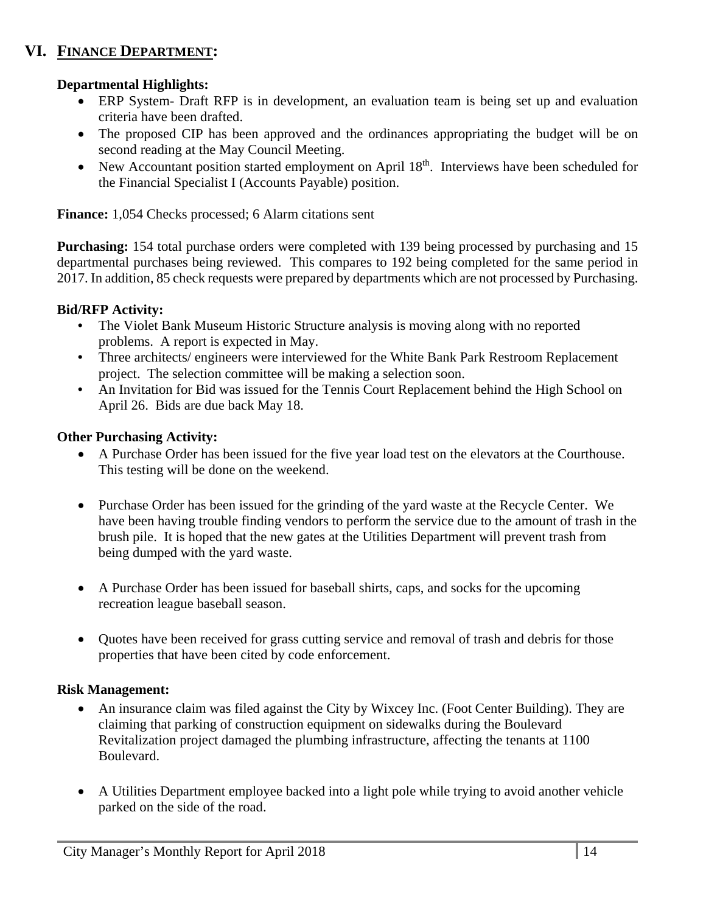### **VI. FINANCE DEPARTMENT:**

### **Departmental Highlights:**

- ERP System- Draft RFP is in development, an evaluation team is being set up and evaluation criteria have been drafted.
- The proposed CIP has been approved and the ordinances appropriating the budget will be on second reading at the May Council Meeting.
- New Accountant position started employment on April  $18<sup>th</sup>$ . Interviews have been scheduled for the Financial Specialist I (Accounts Payable) position.

**Finance:** 1,054 Checks processed; 6 Alarm citations sent

**Purchasing:** 154 total purchase orders were completed with 139 being processed by purchasing and 15 departmental purchases being reviewed. This compares to 192 being completed for the same period in 2017. In addition, 85 check requests were prepared by departments which are not processed by Purchasing.

#### **Bid/RFP Activity:**

- **•** The Violet Bank Museum Historic Structure analysis is moving along with no reported problems. A report is expected in May.
- **•** Three architects/ engineers were interviewed for the White Bank Park Restroom Replacement project. The selection committee will be making a selection soon.
- **•** An Invitation for Bid was issued for the Tennis Court Replacement behind the High School on April 26. Bids are due back May 18.

### **Other Purchasing Activity:**

- A Purchase Order has been issued for the five year load test on the elevators at the Courthouse. This testing will be done on the weekend.
- Purchase Order has been issued for the grinding of the yard waste at the Recycle Center. We have been having trouble finding vendors to perform the service due to the amount of trash in the brush pile. It is hoped that the new gates at the Utilities Department will prevent trash from being dumped with the yard waste.
- A Purchase Order has been issued for baseball shirts, caps, and socks for the upcoming recreation league baseball season.
- Quotes have been received for grass cutting service and removal of trash and debris for those properties that have been cited by code enforcement.

#### **Risk Management:**

- An insurance claim was filed against the City by Wixcey Inc. (Foot Center Building). They are claiming that parking of construction equipment on sidewalks during the Boulevard Revitalization project damaged the plumbing infrastructure, affecting the tenants at 1100 Boulevard.
- A Utilities Department employee backed into a light pole while trying to avoid another vehicle parked on the side of the road.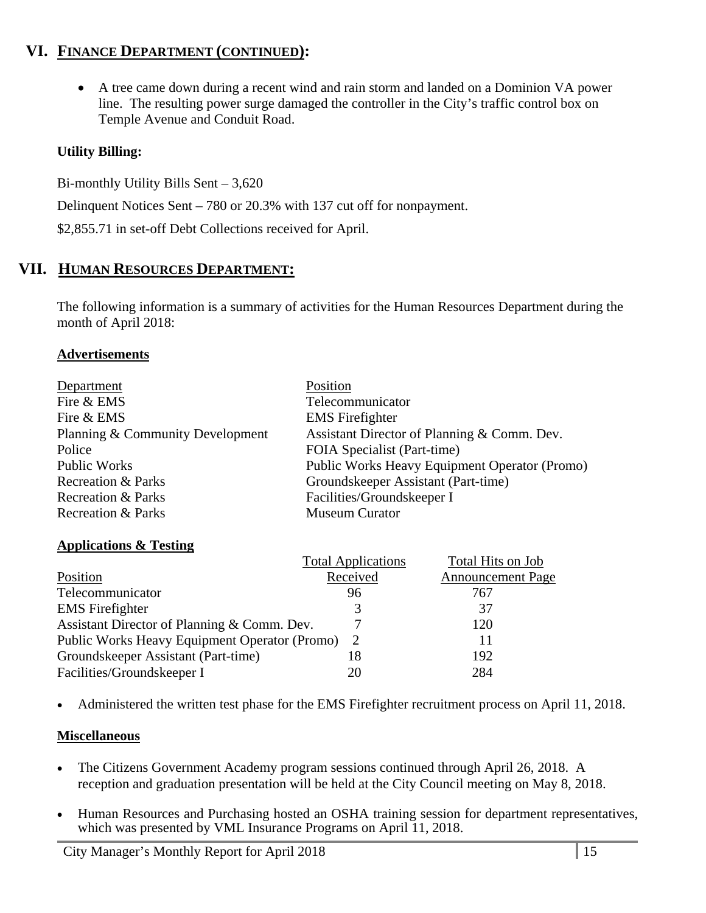### **VI. FINANCE DEPARTMENT (CONTINUED):**

 A tree came down during a recent wind and rain storm and landed on a Dominion VA power line. The resulting power surge damaged the controller in the City's traffic control box on Temple Avenue and Conduit Road.

### **Utility Billing:**

Bi-monthly Utility Bills Sent – 3,620

Delinquent Notices Sent – 780 or 20.3% with 137 cut off for nonpayment.

\$2,855.71 in set-off Debt Collections received for April.

### **VII. HUMAN RESOURCES DEPARTMENT:**

The following information is a summary of activities for the Human Resources Department during the month of April 2018:

### **Advertisements**

| Department                       | Position                                      |
|----------------------------------|-----------------------------------------------|
| Fire & EMS                       | Telecommunicator                              |
| Fire & EMS                       | <b>EMS</b> Firefighter                        |
| Planning & Community Development | Assistant Director of Planning & Comm. Dev.   |
| Police                           | FOIA Specialist (Part-time)                   |
| <b>Public Works</b>              | Public Works Heavy Equipment Operator (Promo) |
| <b>Recreation &amp; Parks</b>    | Groundskeeper Assistant (Part-time)           |
| <b>Recreation &amp; Parks</b>    | Facilities/Groundskeeper I                    |
| Recreation & Parks               | <b>Museum Curator</b>                         |

#### **Applications & Testing**

|               | Total Hits on Job                                                                      |
|---------------|----------------------------------------------------------------------------------------|
|               | <b>Announcement Page</b>                                                               |
| 96            | 767                                                                                    |
| 3             | 37                                                                                     |
|               | 120                                                                                    |
| $\mathcal{L}$ | 11                                                                                     |
| 18            | 192                                                                                    |
| 20            | 284                                                                                    |
|               | <b>Total Applications</b><br>Received<br>Public Works Heavy Equipment Operator (Promo) |

Administered the written test phase for the EMS Firefighter recruitment process on April 11, 2018.

### **Miscellaneous**

- The Citizens Government Academy program sessions continued through April 26, 2018. A reception and graduation presentation will be held at the City Council meeting on May 8, 2018.
- Human Resources and Purchasing hosted an OSHA training session for department representatives, which was presented by VML Insurance Programs on April 11, 2018.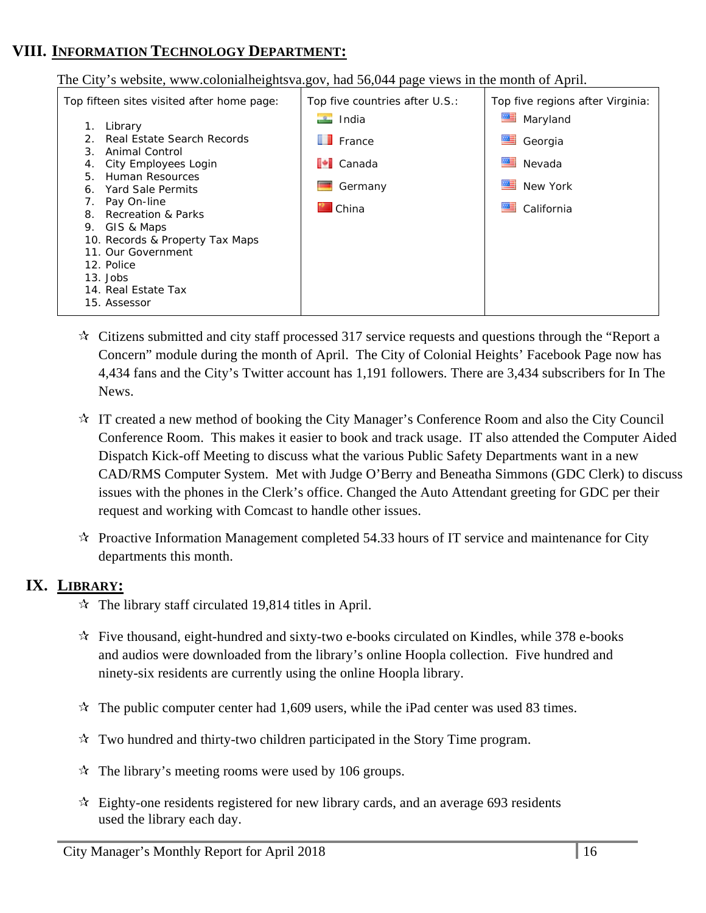### **VIII. INFORMATION TECHNOLOGY DEPARTMENT:**

The City's website, www.colonialheightsva.gov, had 56,044 page views in the month of April.

| Top fifteen sites visited after home page:               | Top five countries after U.S.: | Top five regions after Virginia: |
|----------------------------------------------------------|--------------------------------|----------------------------------|
| Library                                                  | $\Box$ India                   | Maryland                         |
| Real Estate Search Records<br>Animal Control<br>3.       | $\blacksquare$ France          | Georgia                          |
| City Employees Login<br>4.                               | $\blacksquare$ Canada          | Nevada                           |
| Human Resources<br>5.<br>Yard Sale Permits<br>6.         | Germany                        | New York                         |
| Pay On-line<br>7.<br><b>Recreation &amp; Parks</b><br>8. | <b>M</b> China                 | 産<br>California                  |
| GIS & Maps<br>9.                                         |                                |                                  |
| 10. Records & Property Tax Maps                          |                                |                                  |
| 11. Our Government                                       |                                |                                  |
| 12. Police                                               |                                |                                  |
| $13.$ Jobs                                               |                                |                                  |
| 14. Real Estate Tax                                      |                                |                                  |
| 15. Assessor                                             |                                |                                  |

- $\star$  Citizens submitted and city staff processed 317 service requests and questions through the "Report a Concern" module during the month of April. The City of Colonial Heights' Facebook Page now has 4,434 fans and the City's Twitter account has 1,191 followers. There are 3,434 subscribers for In The News.
- IT created a new method of booking the City Manager's Conference Room and also the City Council Conference Room. This makes it easier to book and track usage. IT also attended the Computer Aided Dispatch Kick-off Meeting to discuss what the various Public Safety Departments want in a new CAD/RMS Computer System. Met with Judge O'Berry and Beneatha Simmons (GDC Clerk) to discuss issues with the phones in the Clerk's office. Changed the Auto Attendant greeting for GDC per their request and working with Comcast to handle other issues.
- $\mathcal{R}$  Proactive Information Management completed 54.33 hours of IT service and maintenance for City departments this month.

### **IX. LIBRARY:**

- $\approx$  The library staff circulated 19,814 titles in April.
- $\dot{\mathbf{x}}$  Five thousand, eight-hundred and sixty-two e-books circulated on Kindles, while 378 e-books and audios were downloaded from the library's online Hoopla collection. Five hundred and ninety-six residents are currently using the online Hoopla library.
- $\approx$  The public computer center had 1,609 users, while the iPad center was used 83 times.
- $\mathcal{R}$  Two hundred and thirty-two children participated in the Story Time program.
- $\approx$  The library's meeting rooms were used by 106 groups.
- $\mathcal{R}$  Eighty-one residents registered for new library cards, and an average 693 residents used the library each day.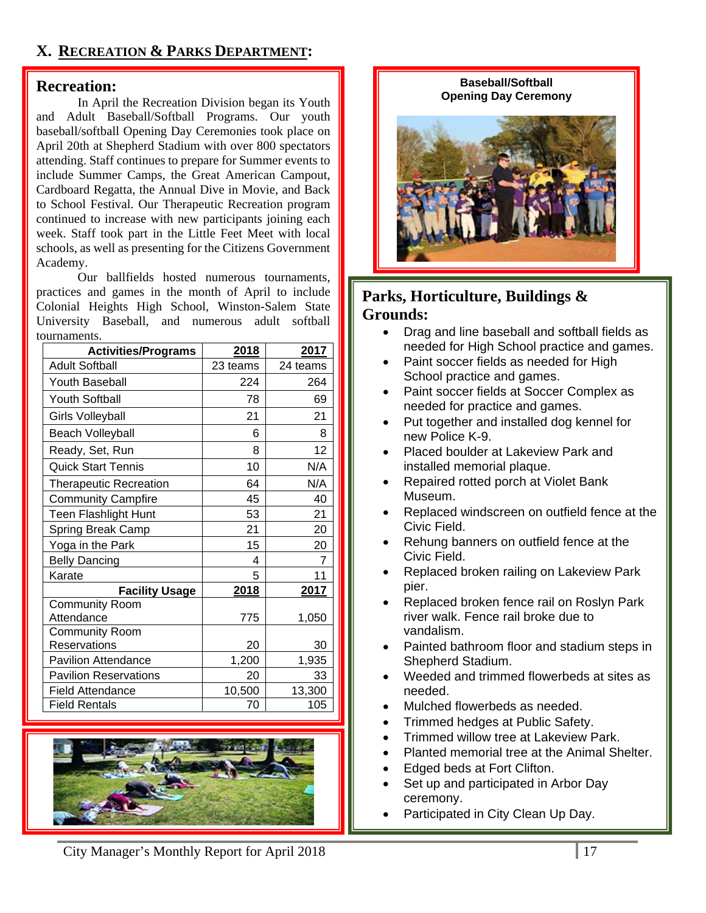### **X. RECREATION & PARKS DEPARTMENT:**

#### **Recreation:**

 In April the Recreation Division began its Youth and Adult Baseball/Softball Programs. Our youth baseball/softball Opening Day Ceremonies took place on April 20th at Shepherd Stadium with over 800 spectators attending. Staff continues to prepare for Summer events to include Summer Camps, the Great American Campout, Cardboard Regatta, the Annual Dive in Movie, and Back to School Festival. Our Therapeutic Recreation program continued to increase with new participants joining each week. Staff took part in the Little Feet Meet with local schools, as well as presenting for the Citizens Government Academy.

 Our ballfields hosted numerous tournaments, practices and games in the month of April to include Colonial Heights High School, Winston-Salem State University Baseball, and numerous adult softball tournaments.

| <b>Activities/Programs</b>    | <u>2018</u>  | 2017     |
|-------------------------------|--------------|----------|
| <b>Adult Softball</b>         | 23 teams     | 24 teams |
| Youth Baseball                | 224          | 264      |
| <b>Youth Softball</b>         | 78           | 69       |
| <b>Girls Volleyball</b>       | 21           | 21       |
| <b>Beach Volleyball</b>       | 6            | 8        |
| Ready, Set, Run               | 8            | 12       |
| <b>Quick Start Tennis</b>     | 10           | N/A      |
| <b>Therapeutic Recreation</b> | 64           | N/A      |
| <b>Community Campfire</b>     | 45           | 40       |
| Teen Flashlight Hunt          | 53           | 21       |
| <b>Spring Break Camp</b>      | 21           | 20       |
| Yoga in the Park              | 15           | 20       |
| <b>Belly Dancing</b>          | 4            | 7        |
| Karate                        | 5            | 11       |
| <b>Facility Usage</b>         | <u> 2018</u> | 2017     |
| <b>Community Room</b>         |              |          |
| Attendance                    | 775          | 1,050    |
| <b>Community Room</b>         |              |          |
| Reservations                  | 20           | 30       |
| <b>Pavilion Attendance</b>    | 1,200        | 1,935    |
| <b>Pavilion Reservations</b>  | 20           | 33       |
| <b>Field Attendance</b>       | 10,500       | 13,300   |
| <b>Field Rentals</b>          | 70           | 105      |



### City Manager's Monthly Report for April 2018

#### **Baseball/Softball Opening Day Ceremony**



### **Parks, Horticulture, Buildings & Grounds:**

- Drag and line baseball and softball fields as needed for High School practice and games.
- Paint soccer fields as needed for High School practice and games.
- Paint soccer fields at Soccer Complex as needed for practice and games.
- Put together and installed dog kennel for new Police K-9.
- Placed boulder at Lakeview Park and installed memorial plaque.
- Repaired rotted porch at Violet Bank Museum.
- Replaced windscreen on outfield fence at the Civic Field.
- Rehung banners on outfield fence at the Civic Field.
- Replaced broken railing on Lakeview Park pier.
- Replaced broken fence rail on Roslyn Park river walk. Fence rail broke due to vandalism.
- Painted bathroom floor and stadium steps in Shepherd Stadium.
- Weeded and trimmed flowerbeds at sites as needed.
- Mulched flowerbeds as needed.
- Trimmed hedges at Public Safety.
- Trimmed willow tree at Lakeview Park.
- Planted memorial tree at the Animal Shelter.
- Edged beds at Fort Clifton.
- Set up and participated in Arbor Day ceremony.
- Participated in City Clean Up Day.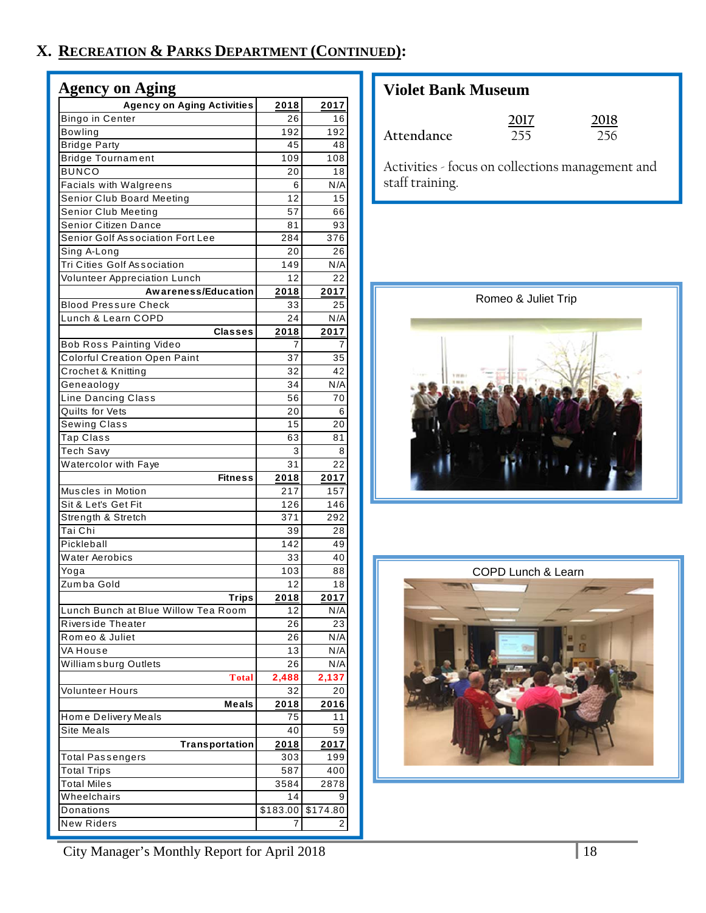# **X. RECREATION & PARKS DEPARTMENT (CONTINUED):**

| <b>Agency on Aging Activities</b><br>2018<br>2017<br>Bingo in Center<br>26<br>16<br><b>Bowling</b><br>192<br>192<br><b>Bridge Party</b><br>45<br>48<br><b>Bridge Tournament</b><br>109<br>108<br><b>BUNCO</b><br>20<br>18<br><b>Facials with Walgreens</b><br>6<br>N/A<br>Senior Club Board Meeting<br>12<br>15<br>Senior Club Meeting<br>57<br>66<br>Senior Citizen Dance<br>81<br>93<br>Senior Golf Association Fort Lee<br>284<br>376<br>Sing A-Long<br>26<br>20<br><b>Tri Cities Golf Association</b><br>N/A<br>149<br>Volunteer Appreciation Lunch<br>12<br>22<br><b>Awareness/Education</b><br>2018<br>2017<br><b>Blood Pressure Check</b><br>25<br>33<br>Lunch & Learn COPD<br>N/A<br>24<br><b>Classes</b><br>2018<br>2017<br><b>Bob Ross Painting Video</b><br>7<br>7<br><b>Colorful Creation Open Paint</b><br>37<br>35<br>Crochet & Knitting<br>32<br>42<br>Geneaology<br>34<br>N/A<br>Line Dancing Class<br>70<br>56<br>Quilts for Vets<br>20<br>6<br>Sewing Class<br>15<br>20<br>Tap Class<br>63<br>81<br>Tech Savy<br>3<br>8<br>Watercolor with Faye<br>31<br>22<br><b>Fitness</b><br>2017<br>2018<br>Muscles in Motion<br>217<br>157<br>Sit & Let's Get Fit<br>126<br>146<br>Strength & Stretch<br>371<br>292<br>Tai Chi<br>39<br>28<br>Pickleball<br>142<br>49<br><b>Water Aerobics</b><br>33<br>40<br>Yoga<br>103<br>88<br>Zumba Gold<br>12<br>18<br>Trips<br>2018<br>2017<br>Lunch Bunch at Blue Willow Tea Room<br>12<br>N/A<br>Riverside Theater<br>26<br>23<br>Romeo & Juliet<br>26<br>N/A<br>VA House<br>13<br>N/A<br>William sburg Outlets<br>N/A<br>26<br>2,488<br><b>Total</b><br>2,137<br>Volunteer Hours<br>32<br>20<br>Meals<br>2016<br>2018<br>Home Delivery Meals<br>75<br>11<br><b>Site Meals</b><br>40<br>59<br>Transportation<br>2018<br>2017<br>Total Passengers<br>303<br>199<br>587<br>400<br>Total Trips<br>Total Miles<br>3584<br>2878<br>Wheelchairs<br>14<br>9<br>\$183.00<br>Donations<br>\$174.80<br><b>New Riders</b><br>2 | <b>Agency on Aging</b> |  |
|----------------------------------------------------------------------------------------------------------------------------------------------------------------------------------------------------------------------------------------------------------------------------------------------------------------------------------------------------------------------------------------------------------------------------------------------------------------------------------------------------------------------------------------------------------------------------------------------------------------------------------------------------------------------------------------------------------------------------------------------------------------------------------------------------------------------------------------------------------------------------------------------------------------------------------------------------------------------------------------------------------------------------------------------------------------------------------------------------------------------------------------------------------------------------------------------------------------------------------------------------------------------------------------------------------------------------------------------------------------------------------------------------------------------------------------------------------------------------------------------------------------------------------------------------------------------------------------------------------------------------------------------------------------------------------------------------------------------------------------------------------------------------------------------------------------------------------------------------------------------------------------------------------------------------------------------------------------------|------------------------|--|
|                                                                                                                                                                                                                                                                                                                                                                                                                                                                                                                                                                                                                                                                                                                                                                                                                                                                                                                                                                                                                                                                                                                                                                                                                                                                                                                                                                                                                                                                                                                                                                                                                                                                                                                                                                                                                                                                                                                                                                      |                        |  |
|                                                                                                                                                                                                                                                                                                                                                                                                                                                                                                                                                                                                                                                                                                                                                                                                                                                                                                                                                                                                                                                                                                                                                                                                                                                                                                                                                                                                                                                                                                                                                                                                                                                                                                                                                                                                                                                                                                                                                                      |                        |  |
|                                                                                                                                                                                                                                                                                                                                                                                                                                                                                                                                                                                                                                                                                                                                                                                                                                                                                                                                                                                                                                                                                                                                                                                                                                                                                                                                                                                                                                                                                                                                                                                                                                                                                                                                                                                                                                                                                                                                                                      |                        |  |
|                                                                                                                                                                                                                                                                                                                                                                                                                                                                                                                                                                                                                                                                                                                                                                                                                                                                                                                                                                                                                                                                                                                                                                                                                                                                                                                                                                                                                                                                                                                                                                                                                                                                                                                                                                                                                                                                                                                                                                      |                        |  |
|                                                                                                                                                                                                                                                                                                                                                                                                                                                                                                                                                                                                                                                                                                                                                                                                                                                                                                                                                                                                                                                                                                                                                                                                                                                                                                                                                                                                                                                                                                                                                                                                                                                                                                                                                                                                                                                                                                                                                                      |                        |  |
|                                                                                                                                                                                                                                                                                                                                                                                                                                                                                                                                                                                                                                                                                                                                                                                                                                                                                                                                                                                                                                                                                                                                                                                                                                                                                                                                                                                                                                                                                                                                                                                                                                                                                                                                                                                                                                                                                                                                                                      |                        |  |
|                                                                                                                                                                                                                                                                                                                                                                                                                                                                                                                                                                                                                                                                                                                                                                                                                                                                                                                                                                                                                                                                                                                                                                                                                                                                                                                                                                                                                                                                                                                                                                                                                                                                                                                                                                                                                                                                                                                                                                      |                        |  |
|                                                                                                                                                                                                                                                                                                                                                                                                                                                                                                                                                                                                                                                                                                                                                                                                                                                                                                                                                                                                                                                                                                                                                                                                                                                                                                                                                                                                                                                                                                                                                                                                                                                                                                                                                                                                                                                                                                                                                                      |                        |  |
|                                                                                                                                                                                                                                                                                                                                                                                                                                                                                                                                                                                                                                                                                                                                                                                                                                                                                                                                                                                                                                                                                                                                                                                                                                                                                                                                                                                                                                                                                                                                                                                                                                                                                                                                                                                                                                                                                                                                                                      |                        |  |
|                                                                                                                                                                                                                                                                                                                                                                                                                                                                                                                                                                                                                                                                                                                                                                                                                                                                                                                                                                                                                                                                                                                                                                                                                                                                                                                                                                                                                                                                                                                                                                                                                                                                                                                                                                                                                                                                                                                                                                      |                        |  |
|                                                                                                                                                                                                                                                                                                                                                                                                                                                                                                                                                                                                                                                                                                                                                                                                                                                                                                                                                                                                                                                                                                                                                                                                                                                                                                                                                                                                                                                                                                                                                                                                                                                                                                                                                                                                                                                                                                                                                                      |                        |  |
|                                                                                                                                                                                                                                                                                                                                                                                                                                                                                                                                                                                                                                                                                                                                                                                                                                                                                                                                                                                                                                                                                                                                                                                                                                                                                                                                                                                                                                                                                                                                                                                                                                                                                                                                                                                                                                                                                                                                                                      |                        |  |
|                                                                                                                                                                                                                                                                                                                                                                                                                                                                                                                                                                                                                                                                                                                                                                                                                                                                                                                                                                                                                                                                                                                                                                                                                                                                                                                                                                                                                                                                                                                                                                                                                                                                                                                                                                                                                                                                                                                                                                      |                        |  |
|                                                                                                                                                                                                                                                                                                                                                                                                                                                                                                                                                                                                                                                                                                                                                                                                                                                                                                                                                                                                                                                                                                                                                                                                                                                                                                                                                                                                                                                                                                                                                                                                                                                                                                                                                                                                                                                                                                                                                                      |                        |  |
|                                                                                                                                                                                                                                                                                                                                                                                                                                                                                                                                                                                                                                                                                                                                                                                                                                                                                                                                                                                                                                                                                                                                                                                                                                                                                                                                                                                                                                                                                                                                                                                                                                                                                                                                                                                                                                                                                                                                                                      |                        |  |
|                                                                                                                                                                                                                                                                                                                                                                                                                                                                                                                                                                                                                                                                                                                                                                                                                                                                                                                                                                                                                                                                                                                                                                                                                                                                                                                                                                                                                                                                                                                                                                                                                                                                                                                                                                                                                                                                                                                                                                      |                        |  |
|                                                                                                                                                                                                                                                                                                                                                                                                                                                                                                                                                                                                                                                                                                                                                                                                                                                                                                                                                                                                                                                                                                                                                                                                                                                                                                                                                                                                                                                                                                                                                                                                                                                                                                                                                                                                                                                                                                                                                                      |                        |  |
|                                                                                                                                                                                                                                                                                                                                                                                                                                                                                                                                                                                                                                                                                                                                                                                                                                                                                                                                                                                                                                                                                                                                                                                                                                                                                                                                                                                                                                                                                                                                                                                                                                                                                                                                                                                                                                                                                                                                                                      |                        |  |
|                                                                                                                                                                                                                                                                                                                                                                                                                                                                                                                                                                                                                                                                                                                                                                                                                                                                                                                                                                                                                                                                                                                                                                                                                                                                                                                                                                                                                                                                                                                                                                                                                                                                                                                                                                                                                                                                                                                                                                      |                        |  |
|                                                                                                                                                                                                                                                                                                                                                                                                                                                                                                                                                                                                                                                                                                                                                                                                                                                                                                                                                                                                                                                                                                                                                                                                                                                                                                                                                                                                                                                                                                                                                                                                                                                                                                                                                                                                                                                                                                                                                                      |                        |  |
|                                                                                                                                                                                                                                                                                                                                                                                                                                                                                                                                                                                                                                                                                                                                                                                                                                                                                                                                                                                                                                                                                                                                                                                                                                                                                                                                                                                                                                                                                                                                                                                                                                                                                                                                                                                                                                                                                                                                                                      |                        |  |
|                                                                                                                                                                                                                                                                                                                                                                                                                                                                                                                                                                                                                                                                                                                                                                                                                                                                                                                                                                                                                                                                                                                                                                                                                                                                                                                                                                                                                                                                                                                                                                                                                                                                                                                                                                                                                                                                                                                                                                      |                        |  |
|                                                                                                                                                                                                                                                                                                                                                                                                                                                                                                                                                                                                                                                                                                                                                                                                                                                                                                                                                                                                                                                                                                                                                                                                                                                                                                                                                                                                                                                                                                                                                                                                                                                                                                                                                                                                                                                                                                                                                                      |                        |  |
|                                                                                                                                                                                                                                                                                                                                                                                                                                                                                                                                                                                                                                                                                                                                                                                                                                                                                                                                                                                                                                                                                                                                                                                                                                                                                                                                                                                                                                                                                                                                                                                                                                                                                                                                                                                                                                                                                                                                                                      |                        |  |
|                                                                                                                                                                                                                                                                                                                                                                                                                                                                                                                                                                                                                                                                                                                                                                                                                                                                                                                                                                                                                                                                                                                                                                                                                                                                                                                                                                                                                                                                                                                                                                                                                                                                                                                                                                                                                                                                                                                                                                      |                        |  |
|                                                                                                                                                                                                                                                                                                                                                                                                                                                                                                                                                                                                                                                                                                                                                                                                                                                                                                                                                                                                                                                                                                                                                                                                                                                                                                                                                                                                                                                                                                                                                                                                                                                                                                                                                                                                                                                                                                                                                                      |                        |  |
|                                                                                                                                                                                                                                                                                                                                                                                                                                                                                                                                                                                                                                                                                                                                                                                                                                                                                                                                                                                                                                                                                                                                                                                                                                                                                                                                                                                                                                                                                                                                                                                                                                                                                                                                                                                                                                                                                                                                                                      |                        |  |
|                                                                                                                                                                                                                                                                                                                                                                                                                                                                                                                                                                                                                                                                                                                                                                                                                                                                                                                                                                                                                                                                                                                                                                                                                                                                                                                                                                                                                                                                                                                                                                                                                                                                                                                                                                                                                                                                                                                                                                      |                        |  |
|                                                                                                                                                                                                                                                                                                                                                                                                                                                                                                                                                                                                                                                                                                                                                                                                                                                                                                                                                                                                                                                                                                                                                                                                                                                                                                                                                                                                                                                                                                                                                                                                                                                                                                                                                                                                                                                                                                                                                                      |                        |  |
|                                                                                                                                                                                                                                                                                                                                                                                                                                                                                                                                                                                                                                                                                                                                                                                                                                                                                                                                                                                                                                                                                                                                                                                                                                                                                                                                                                                                                                                                                                                                                                                                                                                                                                                                                                                                                                                                                                                                                                      |                        |  |
|                                                                                                                                                                                                                                                                                                                                                                                                                                                                                                                                                                                                                                                                                                                                                                                                                                                                                                                                                                                                                                                                                                                                                                                                                                                                                                                                                                                                                                                                                                                                                                                                                                                                                                                                                                                                                                                                                                                                                                      |                        |  |
|                                                                                                                                                                                                                                                                                                                                                                                                                                                                                                                                                                                                                                                                                                                                                                                                                                                                                                                                                                                                                                                                                                                                                                                                                                                                                                                                                                                                                                                                                                                                                                                                                                                                                                                                                                                                                                                                                                                                                                      |                        |  |
|                                                                                                                                                                                                                                                                                                                                                                                                                                                                                                                                                                                                                                                                                                                                                                                                                                                                                                                                                                                                                                                                                                                                                                                                                                                                                                                                                                                                                                                                                                                                                                                                                                                                                                                                                                                                                                                                                                                                                                      |                        |  |
|                                                                                                                                                                                                                                                                                                                                                                                                                                                                                                                                                                                                                                                                                                                                                                                                                                                                                                                                                                                                                                                                                                                                                                                                                                                                                                                                                                                                                                                                                                                                                                                                                                                                                                                                                                                                                                                                                                                                                                      |                        |  |
|                                                                                                                                                                                                                                                                                                                                                                                                                                                                                                                                                                                                                                                                                                                                                                                                                                                                                                                                                                                                                                                                                                                                                                                                                                                                                                                                                                                                                                                                                                                                                                                                                                                                                                                                                                                                                                                                                                                                                                      |                        |  |
|                                                                                                                                                                                                                                                                                                                                                                                                                                                                                                                                                                                                                                                                                                                                                                                                                                                                                                                                                                                                                                                                                                                                                                                                                                                                                                                                                                                                                                                                                                                                                                                                                                                                                                                                                                                                                                                                                                                                                                      |                        |  |
|                                                                                                                                                                                                                                                                                                                                                                                                                                                                                                                                                                                                                                                                                                                                                                                                                                                                                                                                                                                                                                                                                                                                                                                                                                                                                                                                                                                                                                                                                                                                                                                                                                                                                                                                                                                                                                                                                                                                                                      |                        |  |
|                                                                                                                                                                                                                                                                                                                                                                                                                                                                                                                                                                                                                                                                                                                                                                                                                                                                                                                                                                                                                                                                                                                                                                                                                                                                                                                                                                                                                                                                                                                                                                                                                                                                                                                                                                                                                                                                                                                                                                      |                        |  |
|                                                                                                                                                                                                                                                                                                                                                                                                                                                                                                                                                                                                                                                                                                                                                                                                                                                                                                                                                                                                                                                                                                                                                                                                                                                                                                                                                                                                                                                                                                                                                                                                                                                                                                                                                                                                                                                                                                                                                                      |                        |  |
|                                                                                                                                                                                                                                                                                                                                                                                                                                                                                                                                                                                                                                                                                                                                                                                                                                                                                                                                                                                                                                                                                                                                                                                                                                                                                                                                                                                                                                                                                                                                                                                                                                                                                                                                                                                                                                                                                                                                                                      |                        |  |
|                                                                                                                                                                                                                                                                                                                                                                                                                                                                                                                                                                                                                                                                                                                                                                                                                                                                                                                                                                                                                                                                                                                                                                                                                                                                                                                                                                                                                                                                                                                                                                                                                                                                                                                                                                                                                                                                                                                                                                      |                        |  |
|                                                                                                                                                                                                                                                                                                                                                                                                                                                                                                                                                                                                                                                                                                                                                                                                                                                                                                                                                                                                                                                                                                                                                                                                                                                                                                                                                                                                                                                                                                                                                                                                                                                                                                                                                                                                                                                                                                                                                                      |                        |  |
|                                                                                                                                                                                                                                                                                                                                                                                                                                                                                                                                                                                                                                                                                                                                                                                                                                                                                                                                                                                                                                                                                                                                                                                                                                                                                                                                                                                                                                                                                                                                                                                                                                                                                                                                                                                                                                                                                                                                                                      |                        |  |
|                                                                                                                                                                                                                                                                                                                                                                                                                                                                                                                                                                                                                                                                                                                                                                                                                                                                                                                                                                                                                                                                                                                                                                                                                                                                                                                                                                                                                                                                                                                                                                                                                                                                                                                                                                                                                                                                                                                                                                      |                        |  |
|                                                                                                                                                                                                                                                                                                                                                                                                                                                                                                                                                                                                                                                                                                                                                                                                                                                                                                                                                                                                                                                                                                                                                                                                                                                                                                                                                                                                                                                                                                                                                                                                                                                                                                                                                                                                                                                                                                                                                                      |                        |  |
|                                                                                                                                                                                                                                                                                                                                                                                                                                                                                                                                                                                                                                                                                                                                                                                                                                                                                                                                                                                                                                                                                                                                                                                                                                                                                                                                                                                                                                                                                                                                                                                                                                                                                                                                                                                                                                                                                                                                                                      |                        |  |
|                                                                                                                                                                                                                                                                                                                                                                                                                                                                                                                                                                                                                                                                                                                                                                                                                                                                                                                                                                                                                                                                                                                                                                                                                                                                                                                                                                                                                                                                                                                                                                                                                                                                                                                                                                                                                                                                                                                                                                      |                        |  |
|                                                                                                                                                                                                                                                                                                                                                                                                                                                                                                                                                                                                                                                                                                                                                                                                                                                                                                                                                                                                                                                                                                                                                                                                                                                                                                                                                                                                                                                                                                                                                                                                                                                                                                                                                                                                                                                                                                                                                                      |                        |  |
|                                                                                                                                                                                                                                                                                                                                                                                                                                                                                                                                                                                                                                                                                                                                                                                                                                                                                                                                                                                                                                                                                                                                                                                                                                                                                                                                                                                                                                                                                                                                                                                                                                                                                                                                                                                                                                                                                                                                                                      |                        |  |
|                                                                                                                                                                                                                                                                                                                                                                                                                                                                                                                                                                                                                                                                                                                                                                                                                                                                                                                                                                                                                                                                                                                                                                                                                                                                                                                                                                                                                                                                                                                                                                                                                                                                                                                                                                                                                                                                                                                                                                      |                        |  |
|                                                                                                                                                                                                                                                                                                                                                                                                                                                                                                                                                                                                                                                                                                                                                                                                                                                                                                                                                                                                                                                                                                                                                                                                                                                                                                                                                                                                                                                                                                                                                                                                                                                                                                                                                                                                                                                                                                                                                                      |                        |  |
|                                                                                                                                                                                                                                                                                                                                                                                                                                                                                                                                                                                                                                                                                                                                                                                                                                                                                                                                                                                                                                                                                                                                                                                                                                                                                                                                                                                                                                                                                                                                                                                                                                                                                                                                                                                                                                                                                                                                                                      |                        |  |
|                                                                                                                                                                                                                                                                                                                                                                                                                                                                                                                                                                                                                                                                                                                                                                                                                                                                                                                                                                                                                                                                                                                                                                                                                                                                                                                                                                                                                                                                                                                                                                                                                                                                                                                                                                                                                                                                                                                                                                      |                        |  |
|                                                                                                                                                                                                                                                                                                                                                                                                                                                                                                                                                                                                                                                                                                                                                                                                                                                                                                                                                                                                                                                                                                                                                                                                                                                                                                                                                                                                                                                                                                                                                                                                                                                                                                                                                                                                                                                                                                                                                                      |                        |  |
|                                                                                                                                                                                                                                                                                                                                                                                                                                                                                                                                                                                                                                                                                                                                                                                                                                                                                                                                                                                                                                                                                                                                                                                                                                                                                                                                                                                                                                                                                                                                                                                                                                                                                                                                                                                                                                                                                                                                                                      |                        |  |
|                                                                                                                                                                                                                                                                                                                                                                                                                                                                                                                                                                                                                                                                                                                                                                                                                                                                                                                                                                                                                                                                                                                                                                                                                                                                                                                                                                                                                                                                                                                                                                                                                                                                                                                                                                                                                                                                                                                                                                      |                        |  |

# **Violet Bank Museum**

|            | 2017 | 2018 |
|------------|------|------|
| Attendance | 255  | 256  |

Activities - focus on collections management and staff training.





City Manager's Monthly Report for April 2018 18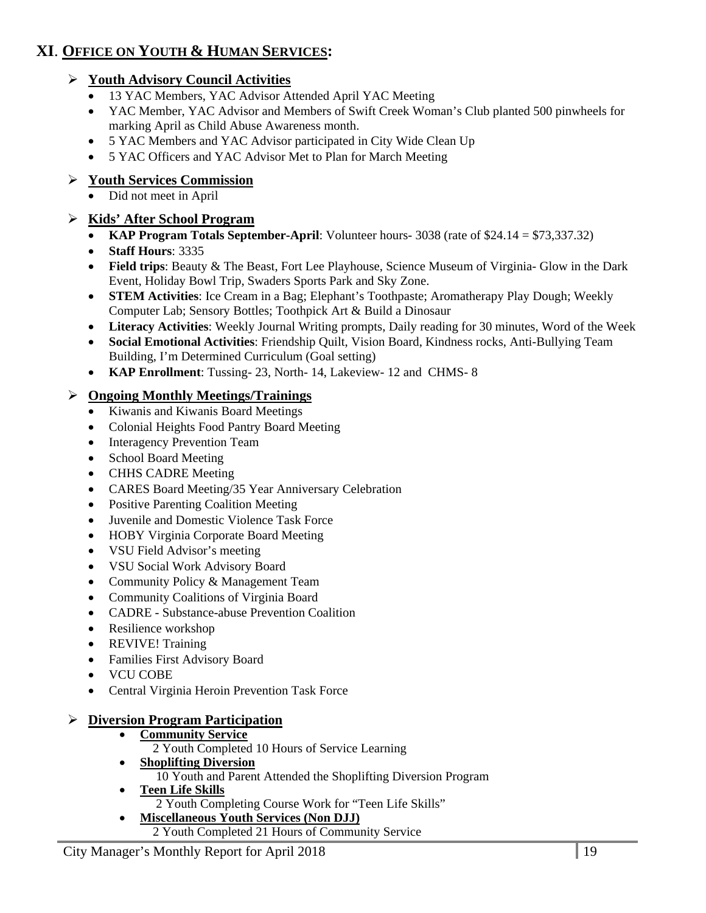### **XI**. **OFFICE ON YOUTH & HUMAN SERVICES:**

### **Youth Advisory Council Activities**

- 13 YAC Members, YAC Advisor Attended April YAC Meeting
- YAC Member, YAC Advisor and Members of Swift Creek Woman's Club planted 500 pinwheels for marking April as Child Abuse Awareness month.
- 5 YAC Members and YAC Advisor participated in City Wide Clean Up
- 5 YAC Officers and YAC Advisor Met to Plan for March Meeting

### **Youth Services Commission**

Did not meet in April

### **Kids' After School Program**

- **KAP Program Totals September-April**: Volunteer hours- 3038 (rate of \$24.14 = \$73,337.32)
- **Staff Hours**: 3335
- **Field trips**: Beauty & The Beast, Fort Lee Playhouse, Science Museum of Virginia- Glow in the Dark Event, Holiday Bowl Trip, Swaders Sports Park and Sky Zone.
- **STEM Activities**: Ice Cream in a Bag; Elephant's Toothpaste; Aromatherapy Play Dough; Weekly Computer Lab; Sensory Bottles; Toothpick Art & Build a Dinosaur
- **Literacy Activities**: Weekly Journal Writing prompts, Daily reading for 30 minutes, Word of the Week
- **Social Emotional Activities**: Friendship Quilt, Vision Board, Kindness rocks, Anti-Bullying Team Building, I'm Determined Curriculum (Goal setting)
- **KAP Enrollment**: Tussing- 23, North- 14, Lakeview- 12 and CHMS- 8

### **Ongoing Monthly Meetings/Trainings**

- Kiwanis and Kiwanis Board Meetings
- Colonial Heights Food Pantry Board Meeting
- Interagency Prevention Team
- School Board Meeting
- CHHS CADRE Meeting
- CARES Board Meeting/35 Year Anniversary Celebration
- Positive Parenting Coalition Meeting
- Juvenile and Domestic Violence Task Force
- HOBY Virginia Corporate Board Meeting
- VSU Field Advisor's meeting
- VSU Social Work Advisory Board
- Community Policy & Management Team
- Community Coalitions of Virginia Board
- CADRE Substance-abuse Prevention Coalition
- Resilience workshop
- REVIVE! Training
- Families First Advisory Board
- VCU COBE
- Central Virginia Heroin Prevention Task Force

#### **Diversion Program Participation**

- **Community Service** 
	- 2 Youth Completed 10 Hours of Service Learning
- **Shoplifting Diversion**
- 10 Youth and Parent Attended the Shoplifting Diversion Program
- **Teen Life Skills** 
	- 2 Youth Completing Course Work for "Teen Life Skills"
- **Miscellaneous Youth Services (Non DJJ)** 
	- 2 Youth Completed 21 Hours of Community Service